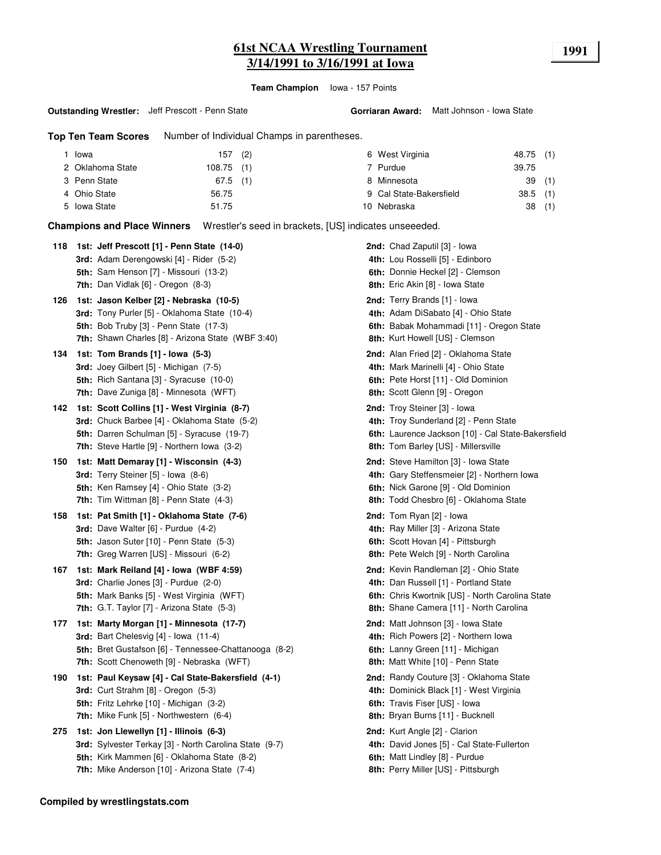# **61st NCAA Wrestling Tournament 1991 3/14/1991 to 3/16/1991 at Iowa**

**Team Champion** Iowa - 157 Points

#### **Outstanding Wrestler:** Jeff Prescott - Penn State

**Top Ten Team Scores** Number of Individual Champs in parentheses.

| Iowa                             | $157$ (2) |  | 6 West Virginia         | 48.75 (1)  |  |
|----------------------------------|-----------|--|-------------------------|------------|--|
| 2 Oklahoma State<br>$108.75$ (1) |           |  | 7 Purdue                | 39.75      |  |
| 3 Penn State<br>67.5             | (1)       |  | 8 Minnesota             | 39(1)      |  |
| 4 Ohio State<br>56.75            |           |  | 9 Cal State-Bakersfield | $38.5$ (1) |  |
| 5 Iowa State<br>51.75            |           |  | 10 Nebraska             | 38(1)      |  |
|                                  |           |  |                         |            |  |

**Champions and Place Winners** Wrestler's seed in brackets, [US] indicates unseeeded.

| 118 | 1st: Jeff Prescott [1] - Penn State (14-0)<br>3rd: Adam Derengowski [4] - Rider (5-2)<br>5th: Sam Henson [7] - Missouri (13-2)                                                                    | <b>2nd:</b> Chad Zaputil [3] - Iowa<br>4th: Lou Rosselli [5] - Edinboro<br>6th: Donnie Heckel [2] - Clemson                                                                                |
|-----|---------------------------------------------------------------------------------------------------------------------------------------------------------------------------------------------------|--------------------------------------------------------------------------------------------------------------------------------------------------------------------------------------------|
| 126 | 7th: Dan Vidlak [6] - Oregon (8-3)<br>1st: Jason Kelber [2] - Nebraska (10-5)                                                                                                                     | 8th: Eric Akin [8] - Iowa State<br>2nd: Terry Brands [1] - lowa                                                                                                                            |
|     | 3rd: Tony Purler [5] - Oklahoma State (10-4)<br><b>5th: Bob Truby [3] - Penn State (17-3)</b><br>7th: Shawn Charles [8] - Arizona State (WBF 3:40)                                                | 4th: Adam DiSabato [4] - Ohio State<br>6th: Babak Mohammadi [11] - Oregon State<br>8th: Kurt Howell [US] - Clemson                                                                         |
| 134 | 1st: Tom Brands [1] - Iowa (5-3)<br>3rd: Joey Gilbert [5] - Michigan (7-5)<br><b>5th:</b> Rich Santana [3] - Syracuse (10-0)<br>7th: Dave Zuniga [8] - Minnesota (WFT)                            | 2nd: Alan Fried [2] - Oklahoma State<br>4th: Mark Marinelli [4] - Ohio State<br>6th: Pete Horst [11] - Old Dominion<br>8th: Scott Glenn [9] - Oregon                                       |
| 142 | 1st: Scott Collins [1] - West Virginia (8-7)<br>3rd: Chuck Barbee [4] - Oklahoma State (5-2)<br>5th: Darren Schulman [5] - Syracuse (19-7)<br><b>7th:</b> Steve Hartle [9] - Northern Iowa (3-2)  | <b>2nd:</b> Troy Steiner [3] - Iowa<br>4th: Troy Sunderland [2] - Penn State<br>6th: Laurence Jackson [10] - Cal State-Bakersfield<br>8th: Tom Barley [US] - Millersville                  |
| 150 | 1st: Matt Demaray [1] - Wisconsin (4-3)<br>3rd: Terry Steiner [5] - Iowa (8-6)<br><b>5th:</b> Ken Ramsey [4] - Ohio State (3-2)<br><b>7th:</b> Tim Wittman $[8]$ - Penn State $(4-3)$             | 2nd: Steve Hamilton [3] - Iowa State<br>4th: Gary Steffensmeier [2] - Northern Iowa<br>6th: Nick Garone [9] - Old Dominion<br><b>8th:</b> Todd Chesbro [6] - Oklahoma State                |
| 158 | 1st: Pat Smith [1] - Oklahoma State (7-6)<br><b>3rd:</b> Dave Walter $[6]$ - Purdue $(4-2)$<br>5th: Jason Suter [10] - Penn State (5-3)<br>7th: Greg Warren [US] - Missouri (6-2)                 | <b>2nd:</b> Tom Ryan $[2]$ - lowa<br>4th: Ray Miller [3] - Arizona State<br>6th: Scott Hovan [4] - Pittsburgh<br>8th: Pete Welch [9] - North Carolina                                      |
| 167 | 1st: Mark Reiland [4] - Iowa (WBF 4:59)<br>3rd: Charlie Jones [3] - Purdue (2-0)<br>5th: Mark Banks [5] - West Virginia (WFT)<br><b>7th:</b> G.T. Taylor $[7]$ - Arizona State $(5-3)$            | <b>2nd:</b> Kevin Randleman [2] - Ohio State<br>4th: Dan Russell [1] - Portland State<br>6th: Chris Kwortnik [US] - North Carolina State<br><b>8th:</b> Shane Camera [11] - North Carolina |
| 177 | 1st: Marty Morgan [1] - Minnesota (17-7)<br>3rd: Bart Chelesvig [4] - Iowa (11-4)<br><b>5th:</b> Bret Gustafson [6] - Tennessee-Chattanooga (8-2)<br>7th: Scott Chenoweth [9] - Nebraska (WFT)    | 2nd: Matt Johnson [3] - Iowa State<br>4th: Rich Powers [2] - Northern Iowa<br>6th: Lanny Green [11] - Michigan<br>8th: Matt White [10] - Penn State                                        |
| 190 | 1st: Paul Keysaw [4] - Cal State-Bakersfield (4-1)<br><b>3rd:</b> Curt Strahm $[8]$ - Oregon $(5-3)$<br><b>5th:</b> Fritz Lehrke [10] - Michigan (3-2)<br>7th: Mike Funk [5] - Northwestern (6-4) | <b>2nd:</b> Randy Couture [3] - Oklahoma State<br>4th: Dominick Black [1] - West Virginia<br>6th: Travis Fiser [US] - Iowa<br>8th: Bryan Burns [11] - Bucknell                             |
| 275 | 1st: Jon Llewellyn [1] - Illinois (6-3)<br>3rd: Sylvester Terkay [3] - North Carolina State (9-7)<br>5th: Kirk Mammen [6] - Oklahoma State (8-2)<br>7th: Mike Anderson [10] - Arizona State (7-4) | 2nd: Kurt Angle [2] - Clarion<br>4th: David Jones [5] - Cal State-Fullerton<br>6th: Matt Lindley [8] - Purdue<br><b>8th:</b> Perry Miller [US] - Pittsburgh                                |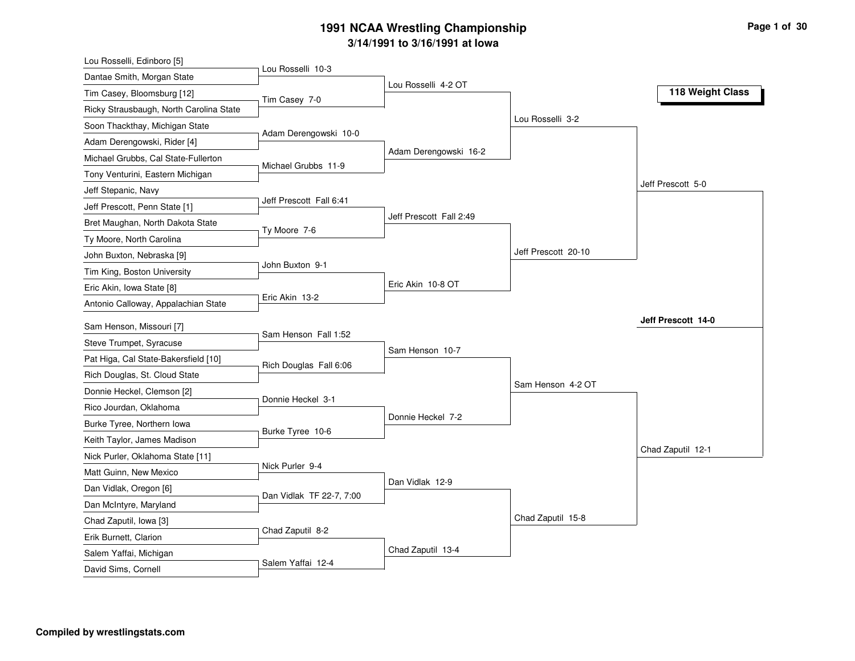| Lou Rosselli, Edinboro [5]                      |                          |                         |                     |                    |
|-------------------------------------------------|--------------------------|-------------------------|---------------------|--------------------|
| Dantae Smith, Morgan State                      | Lou Rosselli 10-3        |                         |                     |                    |
| Tim Casey, Bloomsburg [12]                      | Tim Casey 7-0            | Lou Rosselli 4-2 OT     |                     | 118 Weight Class   |
| Ricky Strausbaugh, North Carolina State         |                          |                         |                     |                    |
| Soon Thackthay, Michigan State                  |                          |                         | Lou Rosselli 3-2    |                    |
| Adam Derengowski, Rider [4]                     | Adam Derengowski 10-0    |                         |                     |                    |
| Michael Grubbs, Cal State-Fullerton             |                          | Adam Derengowski 16-2   |                     |                    |
| Tony Venturini, Eastern Michigan                | Michael Grubbs 11-9      |                         |                     |                    |
| Jeff Stepanic, Navy                             |                          |                         |                     | Jeff Prescott 5-0  |
| Jeff Prescott, Penn State [1]                   | Jeff Prescott Fall 6:41  |                         |                     |                    |
| Bret Maughan, North Dakota State                |                          | Jeff Prescott Fall 2:49 |                     |                    |
| Ty Moore, North Carolina                        | Ty Moore 7-6             |                         |                     |                    |
| John Buxton, Nebraska [9]                       |                          |                         | Jeff Prescott 20-10 |                    |
| Tim King, Boston University                     | John Buxton 9-1          |                         |                     |                    |
| Eric Akin, Iowa State [8]                       |                          | Eric Akin 10-8 OT       |                     |                    |
| Antonio Calloway, Appalachian State             | Eric Akin 13-2           |                         |                     |                    |
| Sam Henson, Missouri [7]                        |                          |                         |                     | Jeff Prescott 14-0 |
| Steve Trumpet, Syracuse                         | Sam Henson Fall 1:52     |                         |                     |                    |
| Pat Higa, Cal State-Bakersfield [10]            |                          | Sam Henson 10-7         |                     |                    |
| Rich Douglas, St. Cloud State                   | Rich Douglas Fall 6:06   |                         |                     |                    |
| Donnie Heckel, Clemson [2]                      |                          |                         | Sam Henson 4-2 OT   |                    |
| Rico Jourdan, Oklahoma                          | Donnie Heckel 3-1        |                         |                     |                    |
| Burke Tyree, Northern Iowa                      |                          | Donnie Heckel 7-2       |                     |                    |
| Keith Taylor, James Madison                     | Burke Tyree 10-6         |                         |                     |                    |
| Nick Purler, Oklahoma State [11]                |                          |                         |                     | Chad Zaputil 12-1  |
| Matt Guinn, New Mexico                          | Nick Purler 9-4          |                         |                     |                    |
| Dan Vidlak, Oregon [6]                          |                          | Dan Vidlak 12-9         |                     |                    |
| Dan McIntyre, Maryland                          | Dan Vidlak TF 22-7, 7:00 |                         |                     |                    |
| Chad Zaputil, Iowa [3]                          |                          |                         | Chad Zaputil 15-8   |                    |
|                                                 |                          |                         |                     |                    |
|                                                 | Chad Zaputil 8-2         |                         |                     |                    |
| Erik Burnett, Clarion<br>Salem Yaffai, Michigan |                          | Chad Zaputil 13-4       |                     |                    |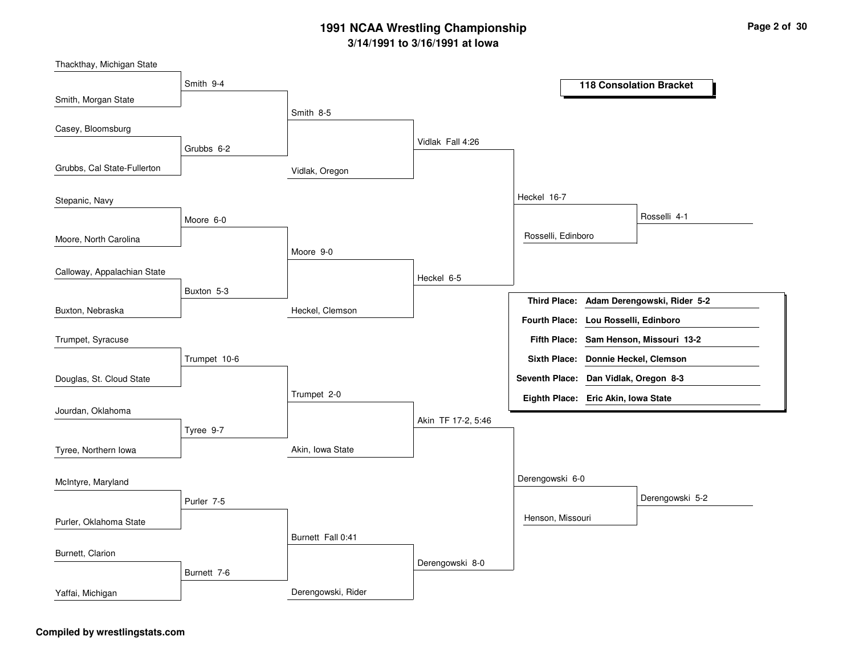Vidlak, OregonHeckel, ClemsonAkin, Iowa StateDerengowski, RiderSmith 8-5Moore 9-0Trumpet 2-0Burnett Fall 0:41Vidlak Fall 4:26Heckel 6-5Akin TF 17-2, 5:46Derengowski 8-0Heckel 16-7Derengowski 6-0Rosselli, EdinboroHenson, MissouriRosselli 4-1Derengowski 5-2Smith 9-4Grubbs 6-2Moore 6-0Buxton 5-3Trumpet 10-6Tyree 9-7Purler 7-5Burnett 7-6Smith, Morgan StateGrubbs, Cal State-FullertonMoore, North CarolinaBuxton, NebraskaCasey, BloomsburgStepanic, NavyCalloway, Appalachian StateDouglas, St. Cloud StateTrumpet, SyracuseJourdan, OklahomaTyree, Northern IowaPurler, Oklahoma StateMcIntyre, MarylandBurnett, ClarionYaffai, Michigan**118 Consolation BracketAdam Derengowski, Rider 5-2Third Place:Sam Henson, Missouri 13-2Fifth Place:Seventh Place: Dan Vidlak, Oregon 8-3Eighth Place: Eric Akin, Iowa StateFourth Place: Lou Rosselli, EdinboroSixth Place: Donnie Heckel, Clemson**

Thackthay, Michigan State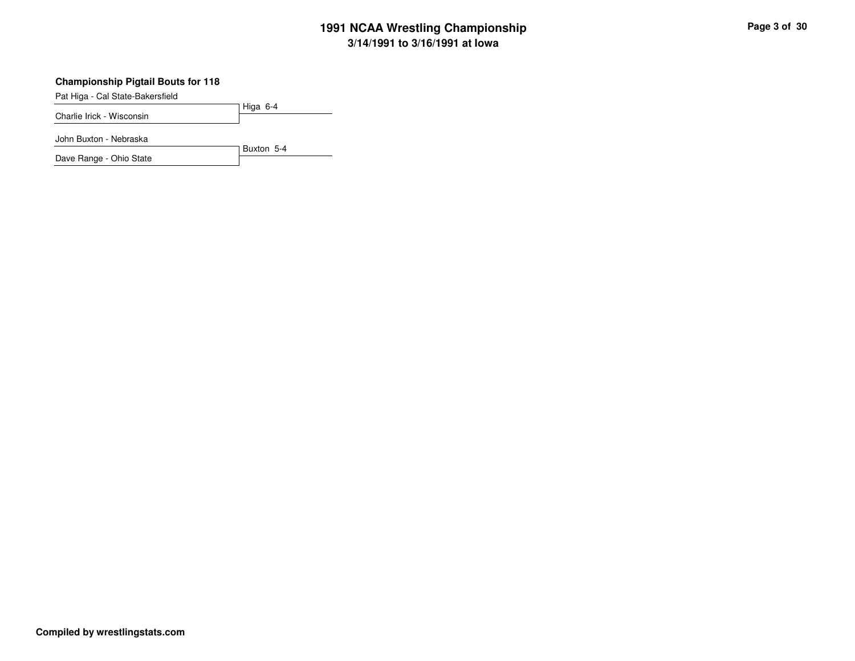## **Championship Pigtail Bouts for 118**

Pat Higa - Cal State-Bakersfield

Higa 6-4Charlie Irick - Wisconsin

Buxton 5-4

John Buxton - Nebraska

Dave Range - Ohio State

**Compiled by wrestlingstats.com**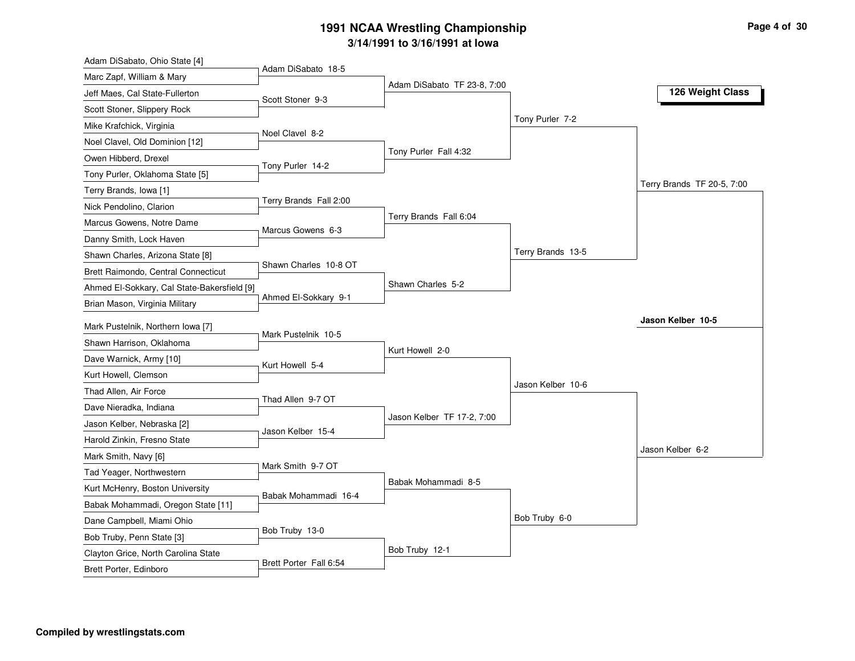| Adam DiSabato, Ohio State [4]                             | Adam DiSabato 18-5     |                             |                   |                            |
|-----------------------------------------------------------|------------------------|-----------------------------|-------------------|----------------------------|
| Marc Zapf, William & Mary                                 |                        | Adam DiSabato TF 23-8, 7:00 |                   |                            |
| Jeff Maes, Cal State-Fullerton                            | Scott Stoner 9-3       |                             |                   | 126 Weight Class           |
| Scott Stoner, Slippery Rock                               |                        |                             |                   |                            |
| Mike Krafchick, Virginia                                  | Noel Clavel 8-2        |                             | Tony Purler 7-2   |                            |
| Noel Clavel, Old Dominion [12]                            |                        |                             |                   |                            |
| Owen Hibberd, Drexel                                      | Tony Purler 14-2       | Tony Purler Fall 4:32       |                   |                            |
| Tony Purler, Oklahoma State [5]                           |                        |                             |                   |                            |
| Terry Brands, Iowa [1]                                    |                        |                             |                   | Terry Brands TF 20-5, 7:00 |
| Nick Pendolino, Clarion                                   | Terry Brands Fall 2:00 |                             |                   |                            |
| Marcus Gowens, Notre Dame                                 | Marcus Gowens 6-3      | Terry Brands Fall 6:04      |                   |                            |
| Danny Smith, Lock Haven                                   |                        |                             |                   |                            |
| Shawn Charles, Arizona State [8]                          |                        |                             | Terry Brands 13-5 |                            |
| Brett Raimondo, Central Connecticut                       | Shawn Charles 10-8 OT  |                             |                   |                            |
| Ahmed El-Sokkary, Cal State-Bakersfield [9]               |                        | Shawn Charles 5-2           |                   |                            |
| Brian Mason, Virginia Military                            | Ahmed El-Sokkary 9-1   |                             |                   |                            |
| Mark Pustelnik, Northern Iowa [7]                         |                        |                             |                   | Jason Kelber 10-5          |
|                                                           | Mark Pustelnik 10-5    |                             |                   |                            |
|                                                           |                        |                             |                   |                            |
| Shawn Harrison, Oklahoma                                  |                        | Kurt Howell 2-0             |                   |                            |
| Dave Warnick, Army [10]                                   | Kurt Howell 5-4        |                             |                   |                            |
| Kurt Howell, Clemson<br>Thad Allen, Air Force             |                        |                             | Jason Kelber 10-6 |                            |
| Dave Nieradka, Indiana                                    | Thad Allen 9-7 OT      |                             |                   |                            |
|                                                           |                        | Jason Kelber TF 17-2, 7:00  |                   |                            |
| Jason Kelber, Nebraska [2]<br>Harold Zinkin, Fresno State | Jason Kelber 15-4      |                             |                   |                            |
| Mark Smith, Navy [6]                                      |                        |                             |                   | Jason Kelber 6-2           |
| Tad Yeager, Northwestern                                  | Mark Smith 9-7 OT      |                             |                   |                            |
| Kurt McHenry, Boston University                           |                        | Babak Mohammadi 8-5         |                   |                            |
| Babak Mohammadi, Oregon State [11]                        | Babak Mohammadi 16-4   |                             |                   |                            |
| Dane Campbell, Miami Ohio                                 |                        |                             | Bob Truby 6-0     |                            |
| Bob Truby, Penn State [3]                                 | Bob Truby 13-0         |                             |                   |                            |
| Clayton Grice, North Carolina State                       | Brett Porter Fall 6:54 | Bob Truby 12-1              |                   |                            |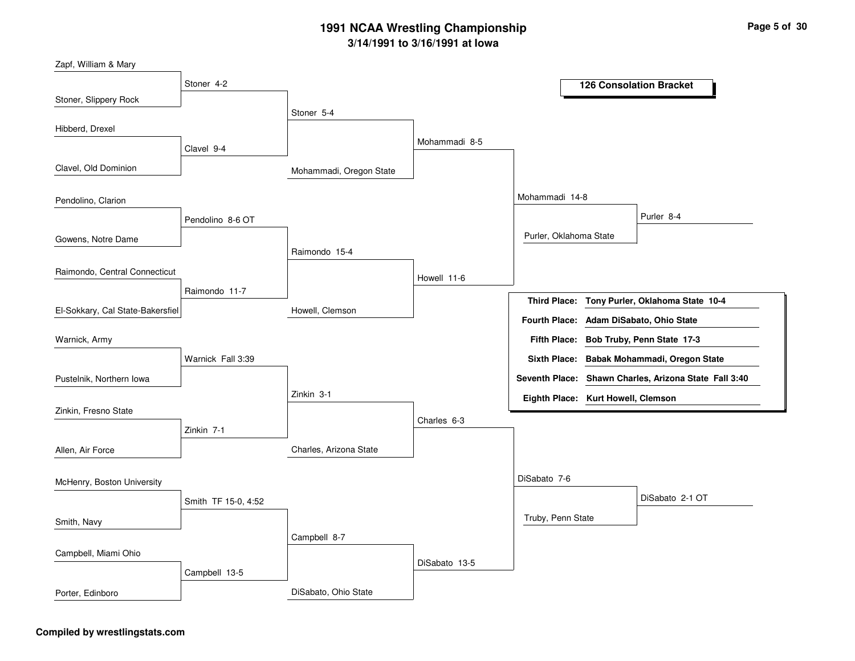| Zapf, William & Mary             |                     |                         |               |                                    |                                                       |
|----------------------------------|---------------------|-------------------------|---------------|------------------------------------|-------------------------------------------------------|
|                                  | Stoner 4-2          |                         |               |                                    | <b>126 Consolation Bracket</b>                        |
| Stoner, Slippery Rock            |                     |                         |               |                                    |                                                       |
|                                  |                     | Stoner 5-4              |               |                                    |                                                       |
| Hibberd, Drexel                  |                     |                         | Mohammadi 8-5 |                                    |                                                       |
|                                  | Clavel 9-4          |                         |               |                                    |                                                       |
| Clavel, Old Dominion             |                     | Mohammadi, Oregon State |               |                                    |                                                       |
| Pendolino, Clarion               |                     |                         |               | Mohammadi 14-8                     |                                                       |
|                                  | Pendolino 8-6 OT    |                         |               |                                    | Purler 8-4                                            |
| Gowens, Notre Dame               |                     |                         |               | Purler, Oklahoma State             |                                                       |
|                                  |                     | Raimondo 15-4           |               |                                    |                                                       |
| Raimondo, Central Connecticut    |                     |                         | Howell 11-6   |                                    |                                                       |
|                                  | Raimondo 11-7       |                         |               | <b>Third Place:</b>                | Tony Purler, Oklahoma State 10-4                      |
| El-Sokkary, Cal State-Bakersfiel |                     | Howell, Clemson         |               | <b>Fourth Place:</b>               | Adam DiSabato, Ohio State                             |
| Warnick, Army                    |                     |                         |               | <b>Fifth Place:</b>                | Bob Truby, Penn State 17-3                            |
|                                  | Warnick Fall 3:39   |                         |               |                                    | Sixth Place: Babak Mohammadi, Oregon State            |
| Pustelnik, Northern Iowa         |                     |                         |               |                                    | Seventh Place: Shawn Charles, Arizona State Fall 3:40 |
|                                  |                     | Zinkin 3-1              |               | Eighth Place: Kurt Howell, Clemson |                                                       |
| Zinkin, Fresno State             |                     |                         |               |                                    |                                                       |
|                                  | Zinkin 7-1          |                         | Charles 6-3   |                                    |                                                       |
| Allen, Air Force                 |                     | Charles, Arizona State  |               |                                    |                                                       |
| McHenry, Boston University       |                     |                         |               | DiSabato 7-6                       |                                                       |
|                                  | Smith TF 15-0, 4:52 |                         |               |                                    | DiSabato 2-1 OT                                       |
|                                  |                     |                         |               | Truby, Penn State                  |                                                       |
| Smith, Navy                      |                     | Campbell 8-7            |               |                                    |                                                       |
| Campbell, Miami Ohio             |                     |                         |               |                                    |                                                       |
|                                  |                     |                         | DiSabato 13-5 |                                    |                                                       |
|                                  | Campbell 13-5       |                         |               |                                    |                                                       |
| Porter, Edinboro                 |                     | DiSabato, Ohio State    |               |                                    |                                                       |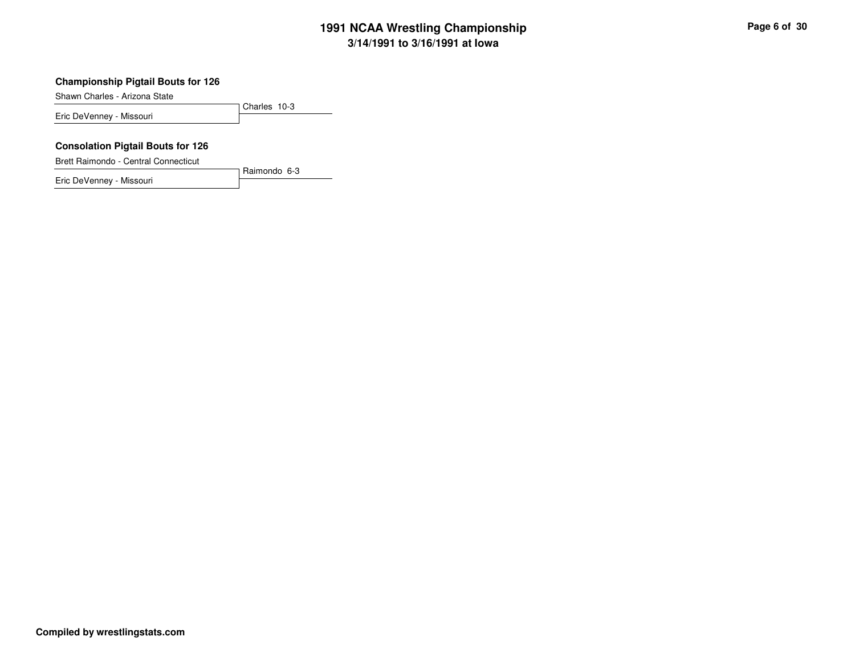## **Championship Pigtail Bouts for 126**

Shawn Charles - Arizona State

Charles 10-3Eric DeVenney - Missouri

Raimondo 6-3

#### **Consolation Pigtail Bouts for 126**

Brett Raimondo - Central Connecticut

Eric DeVenney - Missouri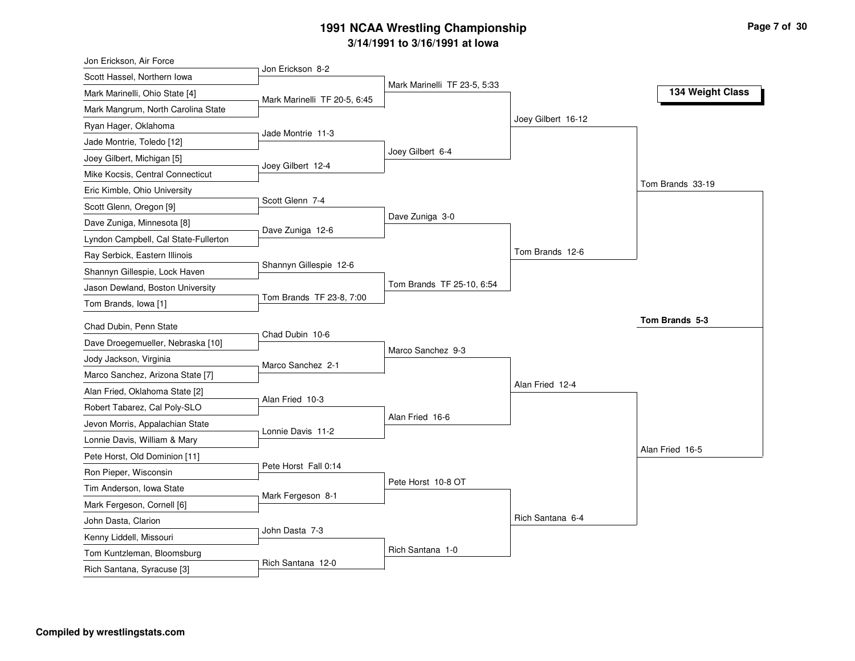| Jon Erickson, Air Force                                    |                              |                              |                    |                  |
|------------------------------------------------------------|------------------------------|------------------------------|--------------------|------------------|
| Scott Hassel, Northern Iowa                                | Jon Erickson 8-2             |                              |                    |                  |
| Mark Marinelli, Ohio State [4]                             |                              | Mark Marinelli TF 23-5, 5:33 |                    | 134 Weight Class |
| Mark Mangrum, North Carolina State                         | Mark Marinelli TF 20-5, 6:45 |                              |                    |                  |
| Ryan Hager, Oklahoma                                       |                              |                              | Joey Gilbert 16-12 |                  |
| Jade Montrie, Toledo [12]                                  | Jade Montrie 11-3            |                              |                    |                  |
| Joey Gilbert, Michigan [5]                                 |                              | Joey Gilbert 6-4             |                    |                  |
| Mike Kocsis, Central Connecticut                           | Joey Gilbert 12-4            |                              |                    |                  |
| Eric Kimble, Ohio University                               |                              |                              |                    | Tom Brands 33-19 |
| Scott Glenn, Oregon [9]                                    | Scott Glenn 7-4              |                              |                    |                  |
| Dave Zuniga, Minnesota [8]                                 |                              | Dave Zuniga 3-0              |                    |                  |
| Lyndon Campbell, Cal State-Fullerton                       | Dave Zuniga 12-6             |                              |                    |                  |
| Ray Serbick, Eastern Illinois                              |                              |                              | Tom Brands 12-6    |                  |
| Shannyn Gillespie, Lock Haven                              | Shannyn Gillespie 12-6       |                              |                    |                  |
| Jason Dewland, Boston University                           |                              | Tom Brands TF 25-10, 6:54    |                    |                  |
| Tom Brands, Iowa [1]                                       | Tom Brands TF 23-8, 7:00     |                              |                    |                  |
| Chad Dubin, Penn State                                     |                              |                              |                    | Tom Brands 5-3   |
| Dave Droegemueller, Nebraska [10]                          | Chad Dubin 10-6              |                              |                    |                  |
|                                                            |                              | Marco Sanchez 9-3            |                    |                  |
| Jody Jackson, Virginia<br>Marco Sanchez, Arizona State [7] | Marco Sanchez 2-1            |                              |                    |                  |
| Alan Fried, Oklahoma State [2]                             |                              |                              | Alan Fried 12-4    |                  |
| Robert Tabarez, Cal Poly-SLO                               | Alan Fried 10-3              |                              |                    |                  |
| Jevon Morris, Appalachian State                            |                              | Alan Fried 16-6              |                    |                  |
| Lonnie Davis, William & Mary                               | Lonnie Davis 11-2            |                              |                    |                  |
| Pete Horst, Old Dominion [11]                              |                              |                              |                    | Alan Fried 16-5  |
| Ron Pieper, Wisconsin                                      | Pete Horst Fall 0:14         |                              |                    |                  |
| Tim Anderson, Iowa State                                   |                              | Pete Horst 10-8 OT           |                    |                  |
|                                                            | Mark Fergeson 8-1            |                              |                    |                  |
| Mark Fergeson, Cornell [6]<br>John Dasta, Clarion          |                              |                              | Rich Santana 6-4   |                  |
| Kenny Liddell, Missouri                                    |                              |                              |                    |                  |
|                                                            | John Dasta 7-3               |                              |                    |                  |
| Tom Kuntzleman, Bloomsburg                                 |                              | Rich Santana 1-0             |                    |                  |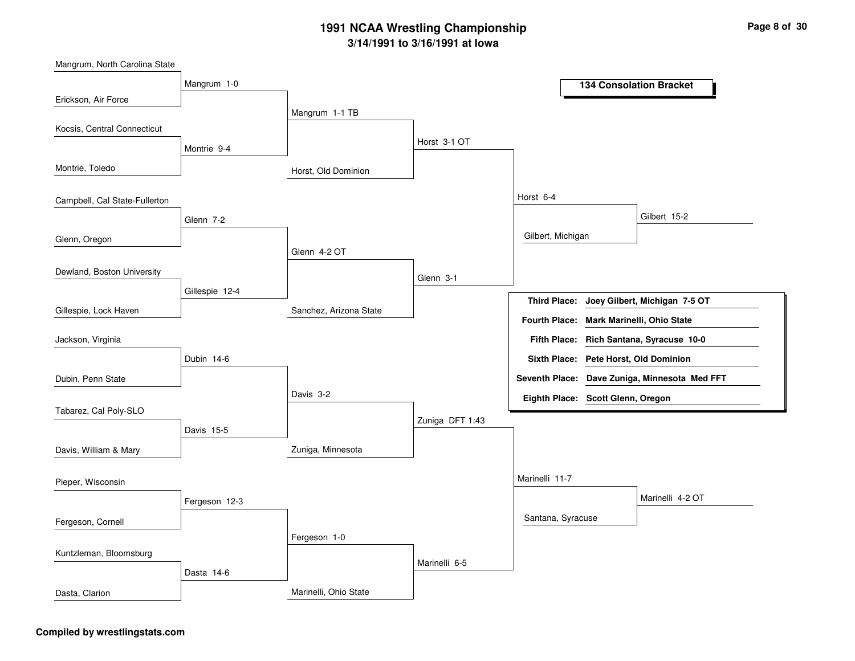

Mangrum, North Carolina State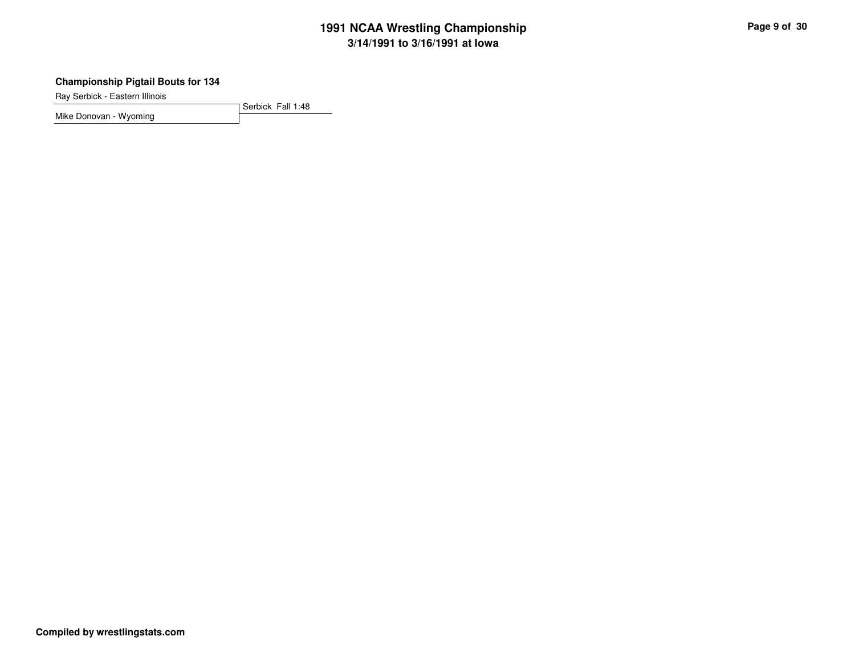## **Championship Pigtail Bouts for 134**

Ray Serbick - Eastern Illinois

Serbick Fall 1:48Mike Donovan - Wyoming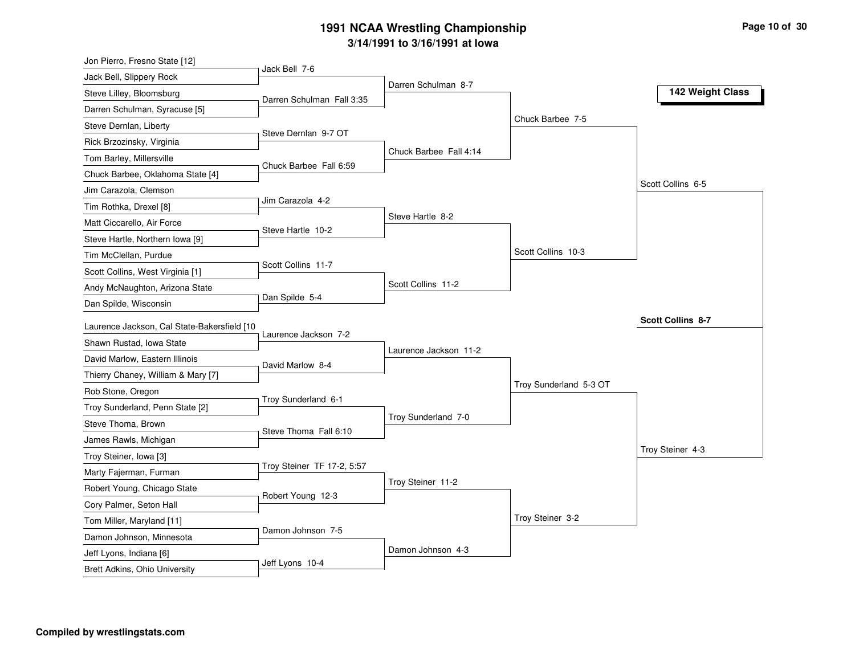| Jon Pierro, Fresno State [12]                                                |                          |
|------------------------------------------------------------------------------|--------------------------|
| Jack Bell 7-6<br>Jack Bell, Slippery Rock                                    |                          |
| Darren Schulman 8-7<br>Steve Lilley, Bloomsburg<br>Darren Schulman Fall 3:35 | 142 Weight Class         |
| Darren Schulman, Syracuse [5]                                                |                          |
| Chuck Barbee 7-5<br>Steve Dernlan, Liberty                                   |                          |
| Steve Dernlan 9-7 OT<br>Rick Brzozinsky, Virginia                            |                          |
| Chuck Barbee Fall 4:14<br>Tom Barley, Millersville                           |                          |
| Chuck Barbee Fall 6:59<br>Chuck Barbee, Oklahoma State [4]                   |                          |
| Jim Carazola, Clemson                                                        | Scott Collins 6-5        |
| Jim Carazola 4-2<br>Tim Rothka, Drexel [8]                                   |                          |
| Steve Hartle 8-2<br>Matt Ciccarello, Air Force                               |                          |
| Steve Hartle 10-2<br>Steve Hartle, Northern Iowa [9]                         |                          |
| Scott Collins 10-3<br>Tim McClellan, Purdue                                  |                          |
| Scott Collins 11-7<br>Scott Collins, West Virginia [1]                       |                          |
| Scott Collins 11-2<br>Andy McNaughton, Arizona State                         |                          |
| Dan Spilde 5-4<br>Dan Spilde, Wisconsin                                      |                          |
| Laurence Jackson, Cal State-Bakersfield [10                                  | <b>Scott Collins 8-7</b> |
| Laurence Jackson 7-2<br>Shawn Rustad, Iowa State                             |                          |
| Laurence Jackson 11-2<br>David Marlow, Eastern Illinois                      |                          |
| David Marlow 8-4<br>Thierry Chaney, William & Mary [7]                       |                          |
| Troy Sunderland 5-3 OT<br>Rob Stone, Oregon                                  |                          |
| Troy Sunderland 6-1<br>Troy Sunderland, Penn State [2]                       |                          |
| Troy Sunderland 7-0<br>Steve Thoma, Brown                                    |                          |
| Steve Thoma Fall 6:10<br>James Rawls, Michigan                               |                          |
| Troy Steiner, Iowa [3]                                                       | Troy Steiner 4-3         |
| Troy Steiner TF 17-2, 5:57<br>Marty Fajerman, Furman                         |                          |
| Troy Steiner 11-2<br>Robert Young, Chicago State                             |                          |
| Robert Young 12-3<br>Cory Palmer, Seton Hall                                 |                          |
| Troy Steiner 3-2                                                             |                          |
| Tom Miller, Maryland [11]<br>Damon Johnson 7-5                               |                          |
| Damon Johnson, Minnesota<br>Damon Johnson 4-3<br>Jeff Lyons, Indiana [6]     |                          |
|                                                                              |                          |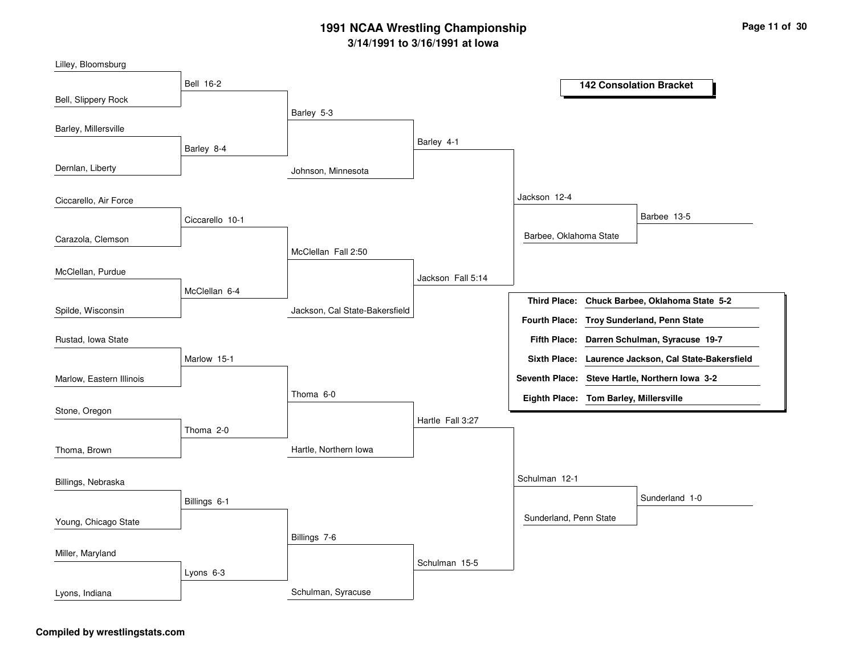| Lilley, Bloomsburg       |                  |                                |                   |                                        |                                                      |
|--------------------------|------------------|--------------------------------|-------------------|----------------------------------------|------------------------------------------------------|
|                          | <b>Bell 16-2</b> |                                |                   |                                        | <b>142 Consolation Bracket</b>                       |
| Bell, Slippery Rock      |                  | Barley 5-3                     |                   |                                        |                                                      |
| Barley, Millersville     |                  |                                |                   |                                        |                                                      |
|                          | Barley 8-4       |                                | Barley 4-1        |                                        |                                                      |
| Dernlan, Liberty         |                  | Johnson, Minnesota             |                   |                                        |                                                      |
| Ciccarello, Air Force    |                  |                                |                   | Jackson 12-4                           |                                                      |
|                          | Ciccarello 10-1  |                                |                   |                                        | Barbee 13-5                                          |
| Carazola, Clemson        |                  |                                |                   | Barbee, Oklahoma State                 |                                                      |
|                          |                  | McClellan Fall 2:50            |                   |                                        |                                                      |
| McClellan, Purdue        |                  |                                | Jackson Fall 5:14 |                                        |                                                      |
|                          | McClellan 6-4    |                                |                   |                                        | Third Place: Chuck Barbee, Oklahoma State 5-2        |
| Spilde, Wisconsin        |                  | Jackson, Cal State-Bakersfield |                   |                                        | Fourth Place: Troy Sunderland, Penn State            |
| Rustad, Iowa State       |                  |                                |                   |                                        | Fifth Place: Darren Schulman, Syracuse 19-7          |
|                          | Marlow 15-1      |                                |                   |                                        | Sixth Place: Laurence Jackson, Cal State-Bakersfield |
| Marlow, Eastern Illinois |                  |                                |                   |                                        | Seventh Place: Steve Hartle, Northern Iowa 3-2       |
|                          |                  | Thoma 6-0                      |                   | Eighth Place: Tom Barley, Millersville |                                                      |
| Stone, Oregon            |                  |                                | Hartle Fall 3:27  |                                        |                                                      |
|                          | Thoma 2-0        |                                |                   |                                        |                                                      |
| Thoma, Brown             |                  | Hartle, Northern Iowa          |                   |                                        |                                                      |
| Billings, Nebraska       |                  |                                |                   | Schulman 12-1                          |                                                      |
|                          | Billings 6-1     |                                |                   |                                        | Sunderland 1-0                                       |
| Young, Chicago State     |                  |                                |                   | Sunderland, Penn State                 |                                                      |
|                          |                  | Billings 7-6                   |                   |                                        |                                                      |
| Miller, Maryland         |                  |                                | Schulman 15-5     |                                        |                                                      |
|                          | Lyons 6-3        |                                |                   |                                        |                                                      |
| Lyons, Indiana           |                  | Schulman, Syracuse             |                   |                                        |                                                      |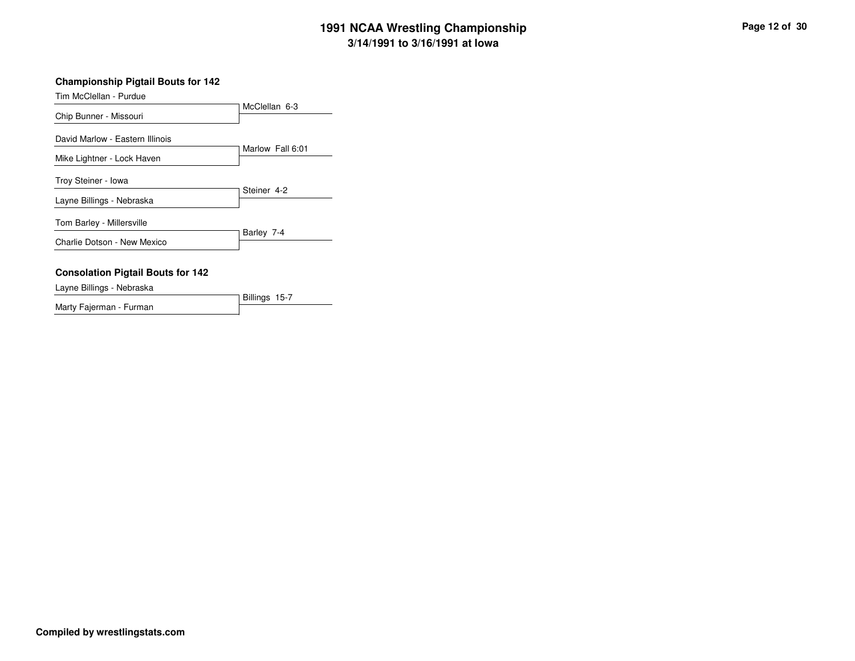## **Championship Pigtail Bouts for 142**

Tim McClellan - Purdue

|                                          | McClellan 6-3    |
|------------------------------------------|------------------|
| Chip Bunner - Missouri                   |                  |
| David Marlow - Eastern Illinois          | Marlow Fall 6:01 |
| Mike Lightner - Lock Haven               |                  |
| Troy Steiner - Iowa                      |                  |
| Layne Billings - Nebraska                | Steiner 4-2      |
| Tom Barley - Millersville                |                  |
| Charlie Dotson - New Mexico              | Barley 7-4       |
| <b>Consolation Pigtail Bouts for 142</b> |                  |
|                                          |                  |

# Layne Billings - Nebraska

Billings 15-7Marty Fajerman - Furman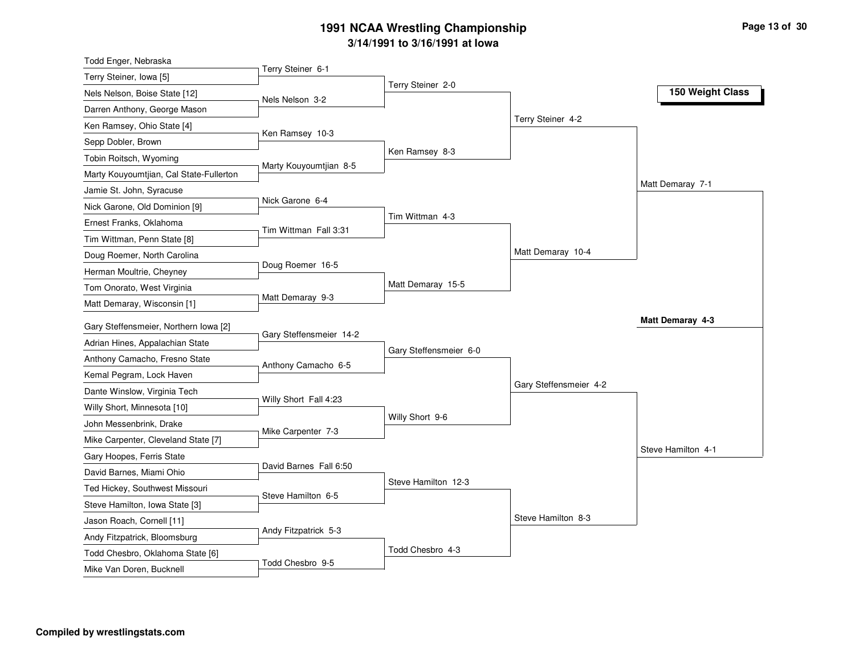| Todd Enger, Nebraska                    |                         |                        |                        |                    |
|-----------------------------------------|-------------------------|------------------------|------------------------|--------------------|
| Terry Steiner, Iowa [5]                 | Terry Steiner 6-1       |                        |                        |                    |
| Nels Nelson, Boise State [12]           | Nels Nelson 3-2         | Terry Steiner 2-0      |                        | 150 Weight Class   |
| Darren Anthony, George Mason            |                         |                        |                        |                    |
| Ken Ramsey, Ohio State [4]              |                         |                        | Terry Steiner 4-2      |                    |
| Sepp Dobler, Brown                      | Ken Ramsey 10-3         |                        |                        |                    |
| Tobin Roitsch, Wyoming                  |                         | Ken Ramsey 8-3         |                        |                    |
| Marty Kouyoumtjian, Cal State-Fullerton | Marty Kouyoumtjian 8-5  |                        |                        |                    |
| Jamie St. John, Syracuse                |                         |                        |                        | Matt Demaray 7-1   |
| Nick Garone, Old Dominion [9]           | Nick Garone 6-4         |                        |                        |                    |
| Ernest Franks, Oklahoma                 |                         | Tim Wittman 4-3        |                        |                    |
| Tim Wittman, Penn State [8]             | Tim Wittman Fall 3:31   |                        |                        |                    |
| Doug Roemer, North Carolina             |                         |                        | Matt Demaray 10-4      |                    |
| Herman Moultrie, Cheyney                | Doug Roemer 16-5        |                        |                        |                    |
| Tom Onorato, West Virginia              |                         | Matt Demaray 15-5      |                        |                    |
| Matt Demaray, Wisconsin [1]             | Matt Demaray 9-3        |                        |                        |                    |
| Gary Steffensmeier, Northern Iowa [2]   |                         |                        |                        | Matt Demaray 4-3   |
| Adrian Hines, Appalachian State         | Gary Steffensmeier 14-2 |                        |                        |                    |
| Anthony Camacho, Fresno State           |                         | Gary Steffensmeier 6-0 |                        |                    |
| Kemal Pegram, Lock Haven                | Anthony Camacho 6-5     |                        |                        |                    |
| Dante Winslow, Virginia Tech            |                         |                        | Gary Steffensmeier 4-2 |                    |
| Willy Short, Minnesota [10]             | Willy Short Fall 4:23   |                        |                        |                    |
| John Messenbrink, Drake                 |                         | Willy Short 9-6        |                        |                    |
| Mike Carpenter, Cleveland State [7]     | Mike Carpenter 7-3      |                        |                        |                    |
| Gary Hoopes, Ferris State               |                         |                        |                        | Steve Hamilton 4-1 |
| David Barnes, Miami Ohio                | David Barnes Fall 6:50  |                        |                        |                    |
| Ted Hickey, Southwest Missouri          |                         | Steve Hamilton 12-3    |                        |                    |
| Steve Hamilton, Iowa State [3]          | Steve Hamilton 6-5      |                        |                        |                    |
| Jason Roach, Cornell [11]               |                         |                        | Steve Hamilton 8-3     |                    |
| Andy Fitzpatrick, Bloomsburg            | Andy Fitzpatrick 5-3    |                        |                        |                    |
|                                         |                         |                        |                        |                    |
| Todd Chesbro, Oklahoma State [6]        |                         | Todd Chesbro 4-3       |                        |                    |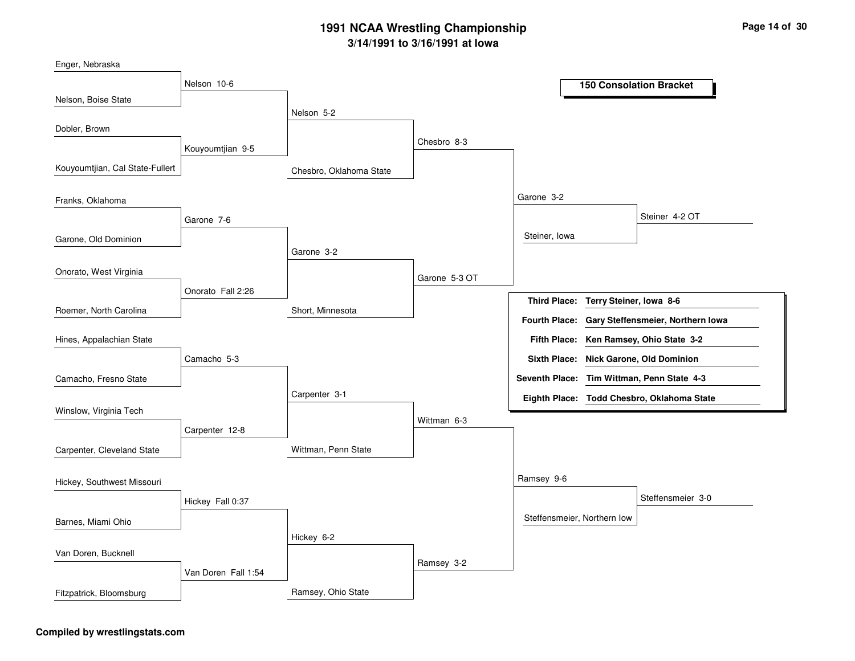| Nelson 10-6         |                                |                          |                           |                             | <b>150 Consolation Bracket</b>                                                                                                                                                                                                                                                      |
|---------------------|--------------------------------|--------------------------|---------------------------|-----------------------------|-------------------------------------------------------------------------------------------------------------------------------------------------------------------------------------------------------------------------------------------------------------------------------------|
|                     |                                |                          |                           |                             |                                                                                                                                                                                                                                                                                     |
|                     |                                |                          |                           |                             |                                                                                                                                                                                                                                                                                     |
|                     |                                | Chesbro 8-3              |                           |                             |                                                                                                                                                                                                                                                                                     |
|                     |                                |                          |                           |                             |                                                                                                                                                                                                                                                                                     |
|                     | Chesbro, Oklahoma State        |                          |                           |                             |                                                                                                                                                                                                                                                                                     |
|                     |                                |                          |                           |                             |                                                                                                                                                                                                                                                                                     |
|                     |                                |                          |                           |                             | Steiner 4-2 OT                                                                                                                                                                                                                                                                      |
|                     |                                |                          |                           |                             |                                                                                                                                                                                                                                                                                     |
|                     |                                |                          |                           |                             |                                                                                                                                                                                                                                                                                     |
|                     |                                |                          |                           |                             |                                                                                                                                                                                                                                                                                     |
|                     |                                | Garone 5-3 OT            |                           |                             |                                                                                                                                                                                                                                                                                     |
| Onorato Fall 2:26   |                                |                          |                           |                             |                                                                                                                                                                                                                                                                                     |
|                     | Short, Minnesota               |                          |                           |                             |                                                                                                                                                                                                                                                                                     |
|                     |                                |                          |                           |                             | Ken Ramsey, Ohio State 3-2                                                                                                                                                                                                                                                          |
| Camacho 5-3         |                                |                          |                           |                             |                                                                                                                                                                                                                                                                                     |
|                     |                                |                          |                           |                             |                                                                                                                                                                                                                                                                                     |
|                     | Carpenter 3-1                  |                          |                           |                             |                                                                                                                                                                                                                                                                                     |
|                     |                                |                          |                           |                             |                                                                                                                                                                                                                                                                                     |
| Carpenter 12-8      |                                |                          |                           |                             |                                                                                                                                                                                                                                                                                     |
|                     | Wittman, Penn State            |                          |                           |                             |                                                                                                                                                                                                                                                                                     |
|                     |                                |                          |                           |                             |                                                                                                                                                                                                                                                                                     |
|                     |                                |                          | Ramsey 9-6                |                             |                                                                                                                                                                                                                                                                                     |
| Hickey Fall 0:37    |                                |                          |                           |                             | Steffensmeier 3-0                                                                                                                                                                                                                                                                   |
|                     |                                |                          |                           |                             |                                                                                                                                                                                                                                                                                     |
|                     | Hickey 6-2                     |                          |                           |                             |                                                                                                                                                                                                                                                                                     |
|                     |                                |                          |                           |                             |                                                                                                                                                                                                                                                                                     |
| Van Doren Fall 1:54 |                                |                          |                           |                             |                                                                                                                                                                                                                                                                                     |
|                     | Ramsey, Ohio State             |                          |                           |                             |                                                                                                                                                                                                                                                                                     |
|                     | Kouyoumtjian 9-5<br>Garone 7-6 | Nelson 5-2<br>Garone 3-2 | Wittman 6-3<br>Ramsey 3-2 | Garone 3-2<br>Steiner, Iowa | Third Place: Terry Steiner, Iowa 8-6<br>Fourth Place: Gary Steffensmeier, Northern Iowa<br><b>Fifth Place:</b><br>Sixth Place: Nick Garone, Old Dominion<br>Seventh Place: Tim Wittman, Penn State 4-3<br>Eighth Place: Todd Chesbro, Oklahoma State<br>Steffensmeier, Northern low |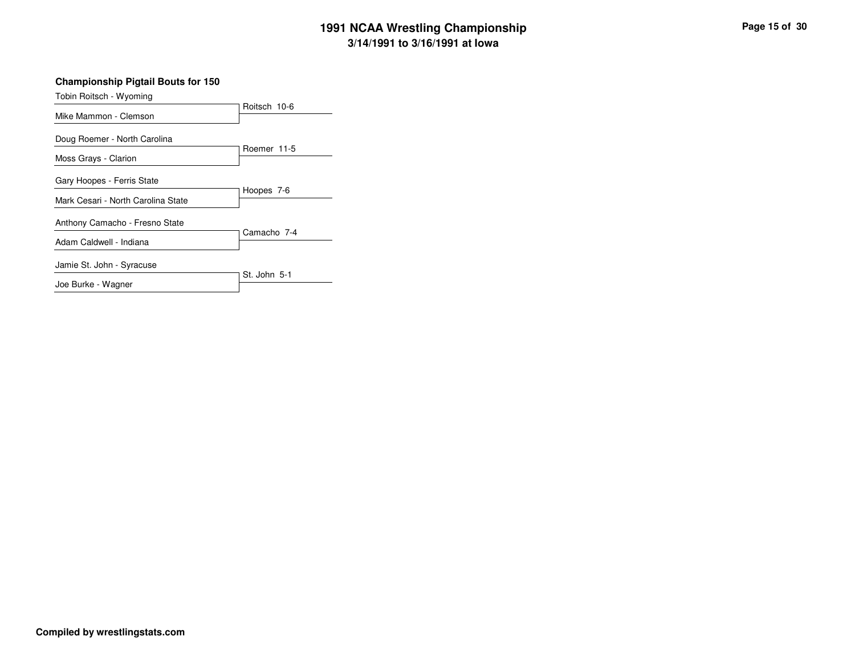## **Championship Pigtail Bouts for 150**

| Tobin Roitsch - Wyoming                              |              |
|------------------------------------------------------|--------------|
|                                                      | Roitsch 10-6 |
| Mike Mammon - Clemson                                |              |
| Doug Roemer - North Carolina<br>Moss Grays - Clarion | Roemer 11-5  |
|                                                      |              |
| Gary Hoopes - Ferris State                           | Hoopes 7-6   |
| Mark Cesari - North Carolina State                   |              |
| Anthony Camacho - Fresno State                       | Camacho 7-4  |
| Adam Caldwell - Indiana                              |              |
| Jamie St. John - Syracuse                            | St. John 5-1 |
| Joe Burke - Wagner                                   |              |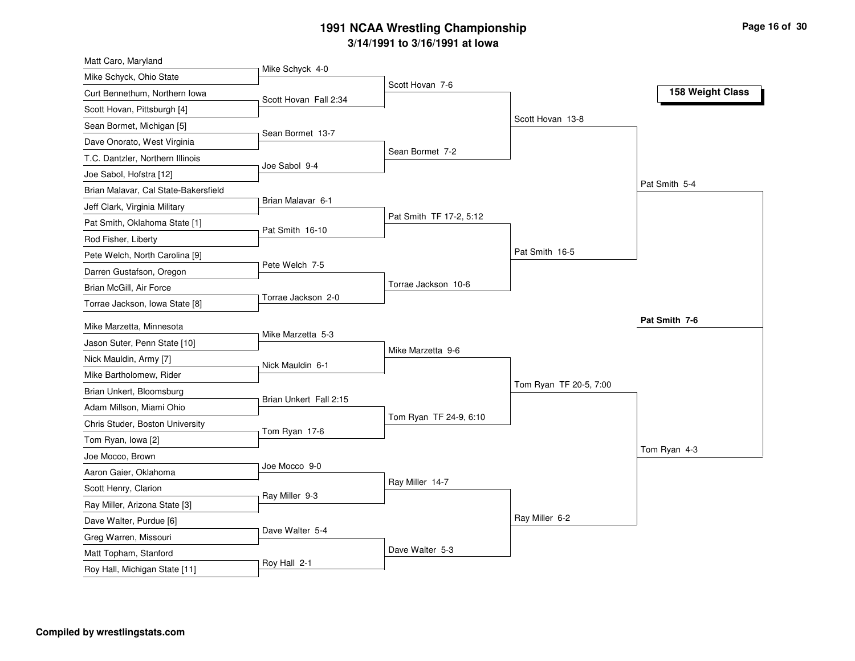| Matt Caro, Maryland                       |                        |                         |                        |                  |
|-------------------------------------------|------------------------|-------------------------|------------------------|------------------|
| Mike Schyck, Ohio State                   | Mike Schyck 4-0        | Scott Hovan 7-6         |                        |                  |
| Curt Bennethum, Northern Iowa             | Scott Hovan Fall 2:34  |                         |                        | 158 Weight Class |
| Scott Hovan, Pittsburgh [4]               |                        |                         |                        |                  |
| Sean Bormet, Michigan [5]                 |                        |                         | Scott Hovan 13-8       |                  |
| Dave Onorato, West Virginia               | Sean Bormet 13-7       |                         |                        |                  |
| T.C. Dantzler, Northern Illinois          |                        | Sean Bormet 7-2         |                        |                  |
| Joe Sabol, Hofstra [12]                   | Joe Sabol 9-4          |                         |                        |                  |
| Brian Malavar, Cal State-Bakersfield      |                        |                         |                        | Pat Smith 5-4    |
| Jeff Clark, Virginia Military             | Brian Malavar 6-1      |                         |                        |                  |
| Pat Smith, Oklahoma State [1]             |                        | Pat Smith TF 17-2, 5:12 |                        |                  |
| Rod Fisher, Liberty                       | Pat Smith 16-10        |                         |                        |                  |
| Pete Welch, North Carolina [9]            |                        |                         | Pat Smith 16-5         |                  |
| Darren Gustafson, Oregon                  | Pete Welch 7-5         |                         |                        |                  |
| Brian McGill, Air Force                   |                        | Torrae Jackson 10-6     |                        |                  |
| Torrae Jackson, Iowa State [8]            | Torrae Jackson 2-0     |                         |                        |                  |
| Mike Marzetta, Minnesota                  |                        |                         |                        | Pat Smith 7-6    |
| Jason Suter, Penn State [10]              | Mike Marzetta 5-3      |                         |                        |                  |
| Nick Mauldin, Army [7]                    |                        | Mike Marzetta 9-6       |                        |                  |
| Mike Bartholomew, Rider                   | Nick Mauldin 6-1       |                         |                        |                  |
| Brian Unkert, Bloomsburg                  |                        |                         | Tom Ryan TF 20-5, 7:00 |                  |
| Adam Millson, Miami Ohio                  | Brian Unkert Fall 2:15 |                         |                        |                  |
| Chris Studer, Boston University           |                        | Tom Ryan TF 24-9, 6:10  |                        |                  |
|                                           | Tom Ryan 17-6          |                         |                        |                  |
| Tom Ryan, Iowa [2]                        |                        |                         |                        | Tom Ryan 4-3     |
| Joe Mocco, Brown<br>Aaron Gaier, Oklahoma | Joe Mocco 9-0          |                         |                        |                  |
| Scott Henry, Clarion                      |                        | Ray Miller 14-7         |                        |                  |
|                                           | Ray Miller 9-3         |                         |                        |                  |
| Ray Miller, Arizona State [3]             |                        |                         | Ray Miller 6-2         |                  |
| Dave Walter, Purdue [6]                   | Dave Walter 5-4        |                         |                        |                  |
| Greg Warren, Missouri                     |                        | Dave Walter 5-3         |                        |                  |
| Matt Topham, Stanford                     | Roy Hall 2-1           |                         |                        |                  |
| Roy Hall, Michigan State [11]             |                        |                         |                        |                  |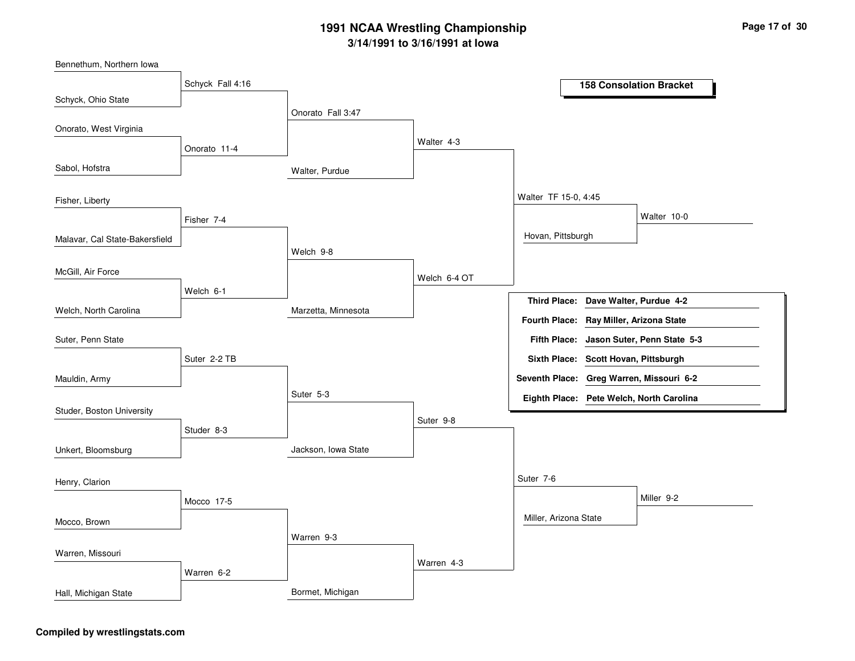Bennethum, Northern Iowa

|                                | Schyck Fall 4:16 |                     |              |                                          |                         | <b>158 Consolation Bracket</b>           |
|--------------------------------|------------------|---------------------|--------------|------------------------------------------|-------------------------|------------------------------------------|
| Schyck, Ohio State             |                  |                     |              |                                          |                         |                                          |
| Onorato, West Virginia         |                  | Onorato Fall 3:47   |              |                                          |                         |                                          |
|                                |                  |                     | Walter 4-3   |                                          |                         |                                          |
|                                | Onorato 11-4     |                     |              |                                          |                         |                                          |
| Sabol, Hofstra                 |                  | Walter, Purdue      |              |                                          |                         |                                          |
| Fisher, Liberty                |                  |                     |              | Walter TF 15-0, 4:45                     |                         |                                          |
|                                | Fisher 7-4       |                     |              |                                          |                         | Walter 10-0                              |
| Malavar, Cal State-Bakersfield |                  |                     |              | Hovan, Pittsburgh                        |                         |                                          |
|                                |                  | Welch 9-8           |              |                                          |                         |                                          |
| McGill, Air Force              |                  |                     | Welch 6-4 OT |                                          |                         |                                          |
|                                | Welch 6-1        |                     |              | <b>Third Place:</b>                      |                         | Dave Walter, Purdue 4-2                  |
| Welch, North Carolina          |                  | Marzetta, Minnesota |              | <b>Fourth Place:</b>                     |                         | Ray Miller, Arizona State                |
| Suter, Penn State              |                  |                     |              | <b>Fifth Place:</b>                      |                         | Jason Suter, Penn State 5-3              |
|                                | Suter 2-2 TB     |                     |              | <b>Sixth Place:</b>                      | Scott Hovan, Pittsburgh |                                          |
|                                |                  |                     |              |                                          |                         |                                          |
| Mauldin, Army                  |                  | Suter 5-3           |              | Seventh Place: Greg Warren, Missouri 6-2 |                         |                                          |
| Studer, Boston University      |                  |                     |              |                                          |                         | Eighth Place: Pete Welch, North Carolina |
|                                | Studer 8-3       |                     | Suter 9-8    |                                          |                         |                                          |
| Unkert, Bloomsburg             |                  | Jackson, Iowa State |              |                                          |                         |                                          |
| Henry, Clarion                 |                  |                     |              | Suter 7-6                                |                         |                                          |
|                                | Mocco 17-5       |                     |              |                                          |                         | Miller 9-2                               |
|                                |                  |                     |              | Miller, Arizona State                    |                         |                                          |
| Mocco, Brown                   |                  |                     |              |                                          |                         |                                          |
| Warren, Missouri               |                  | Warren 9-3          |              |                                          |                         |                                          |
|                                |                  |                     | Warren 4-3   |                                          |                         |                                          |
|                                | Warren 6-2       |                     |              |                                          |                         |                                          |
| Hall, Michigan State           |                  | Bormet, Michigan    |              |                                          |                         |                                          |

## **Compiled by wrestlingstats.com**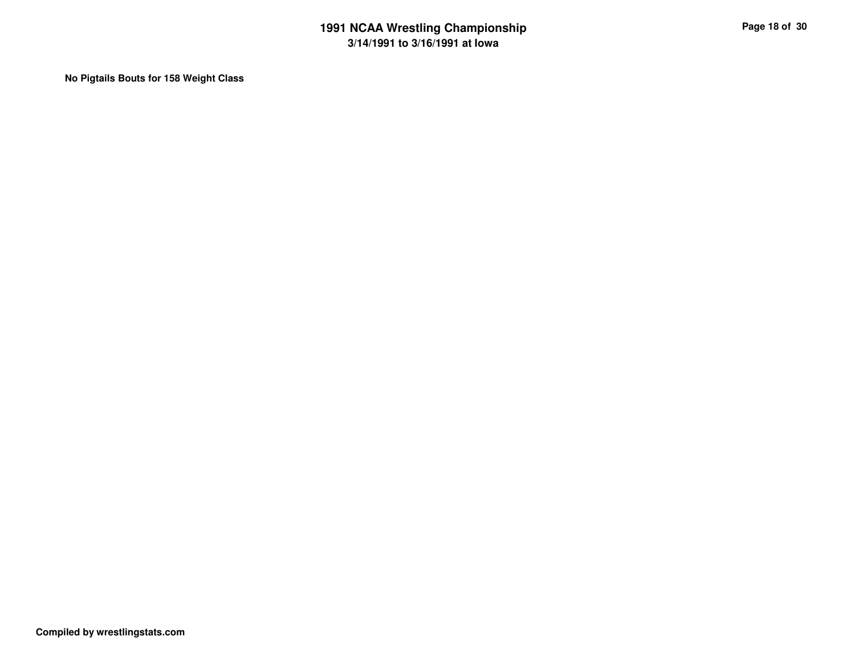**No Pigtails Bouts for 158 Weight Class**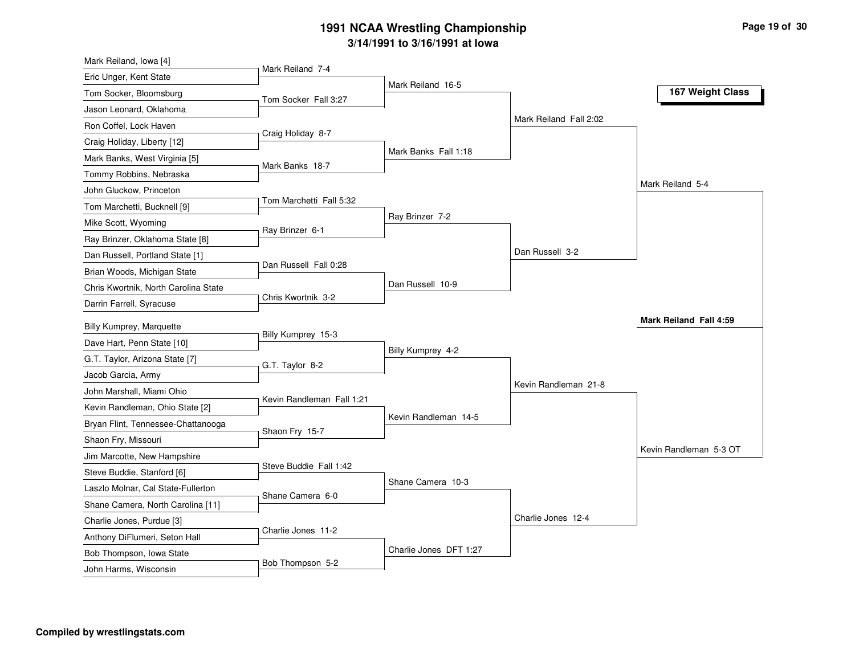| Mark Reiland, Iowa [4]                                    |                           |                        |                        |                        |
|-----------------------------------------------------------|---------------------------|------------------------|------------------------|------------------------|
| Eric Unger, Kent State                                    | Mark Reiland 7-4          |                        |                        |                        |
| Tom Socker, Bloomsburg                                    | Tom Socker Fall 3:27      | Mark Reiland 16-5      |                        | 167 Weight Class       |
| Jason Leonard, Oklahoma                                   |                           |                        |                        |                        |
| Ron Coffel, Lock Haven                                    |                           |                        | Mark Reiland Fall 2:02 |                        |
| Craig Holiday, Liberty [12]                               | Craig Holiday 8-7         |                        |                        |                        |
| Mark Banks, West Virginia [5]                             |                           | Mark Banks Fall 1:18   |                        |                        |
| Tommy Robbins, Nebraska                                   | Mark Banks 18-7           |                        |                        |                        |
| John Gluckow, Princeton                                   |                           |                        |                        | Mark Reiland 5-4       |
| Tom Marchetti, Bucknell [9]                               | Tom Marchetti Fall 5:32   |                        |                        |                        |
| Mike Scott, Wyoming                                       |                           | Ray Brinzer 7-2        |                        |                        |
| Ray Brinzer, Oklahoma State [8]                           | Ray Brinzer 6-1           |                        |                        |                        |
| Dan Russell, Portland State [1]                           |                           |                        | Dan Russell 3-2        |                        |
| Brian Woods, Michigan State                               | Dan Russell Fall 0:28     |                        |                        |                        |
| Chris Kwortnik, North Carolina State                      |                           | Dan Russell 10-9       |                        |                        |
| Darrin Farrell, Syracuse                                  | Chris Kwortnik 3-2        |                        |                        |                        |
| <b>Billy Kumprey, Marquette</b>                           |                           |                        |                        | Mark Reiland Fall 4:59 |
| Dave Hart, Penn State [10]                                | Billy Kumprey 15-3        |                        |                        |                        |
| G.T. Taylor, Arizona State [7]                            |                           | Billy Kumprey 4-2      |                        |                        |
|                                                           |                           |                        |                        |                        |
|                                                           | G.T. Taylor 8-2           |                        |                        |                        |
| Jacob Garcia, Army                                        |                           |                        | Kevin Randleman 21-8   |                        |
| John Marshall, Miami Ohio                                 | Kevin Randleman Fall 1:21 |                        |                        |                        |
| Kevin Randleman, Ohio State [2]                           |                           | Kevin Randleman 14-5   |                        |                        |
| Bryan Flint, Tennessee-Chattanooga                        | Shaon Fry 15-7            |                        |                        |                        |
| Shaon Fry, Missouri                                       |                           |                        |                        | Kevin Randleman 5-3 OT |
| Jim Marcotte, New Hampshire                               | Steve Buddie Fall 1:42    |                        |                        |                        |
| Steve Buddie, Stanford [6]                                |                           | Shane Camera 10-3      |                        |                        |
| Laszlo Molnar, Cal State-Fullerton                        | Shane Camera 6-0          |                        |                        |                        |
| Shane Camera, North Carolina [11]                         |                           |                        | Charlie Jones 12-4     |                        |
| Charlie Jones, Purdue [3]                                 | Charlie Jones 11-2        |                        |                        |                        |
| Anthony DiFlumeri, Seton Hall<br>Bob Thompson, Iowa State |                           | Charlie Jones DFT 1:27 |                        |                        |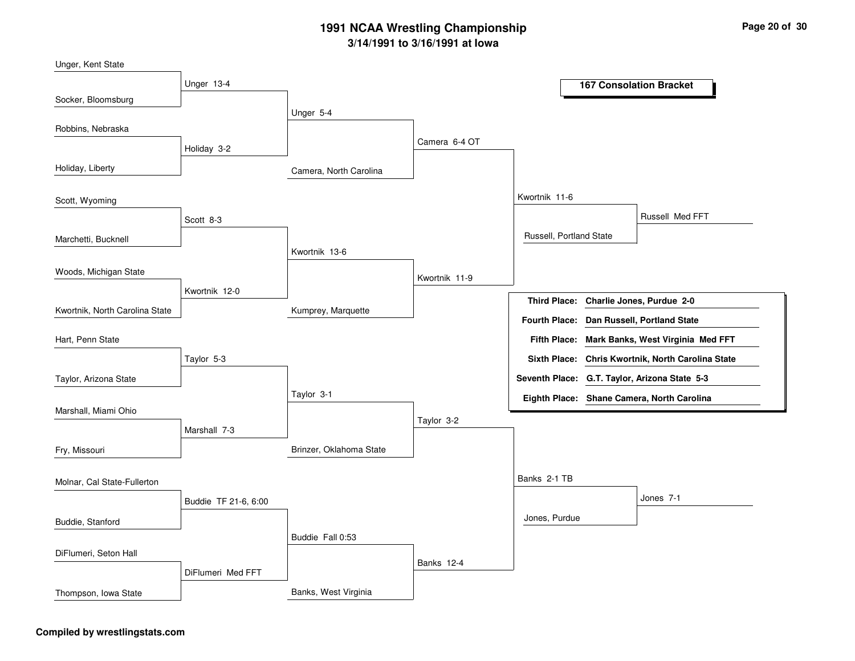| Unger, Kent State              |                      |                         |               |                         |                                                   |
|--------------------------------|----------------------|-------------------------|---------------|-------------------------|---------------------------------------------------|
|                                | Unger 13-4           |                         |               |                         | <b>167 Consolation Bracket</b>                    |
| Socker, Bloomsburg             |                      |                         |               |                         |                                                   |
|                                |                      | Unger 5-4               |               |                         |                                                   |
| Robbins, Nebraska              |                      |                         |               |                         |                                                   |
|                                | Holiday 3-2          |                         | Camera 6-4 OT |                         |                                                   |
| Holiday, Liberty               |                      | Camera, North Carolina  |               |                         |                                                   |
| Scott, Wyoming                 |                      |                         |               | Kwortnik 11-6           |                                                   |
|                                | Scott 8-3            |                         |               |                         | Russell Med FFT                                   |
| Marchetti, Bucknell            |                      |                         |               | Russell, Portland State |                                                   |
|                                |                      | Kwortnik 13-6           |               |                         |                                                   |
| Woods, Michigan State          |                      |                         | Kwortnik 11-9 |                         |                                                   |
|                                | Kwortnik 12-0        |                         |               |                         | Third Place: Charlie Jones, Purdue 2-0            |
| Kwortnik, North Carolina State |                      | Kumprey, Marquette      |               |                         | Fourth Place: Dan Russell, Portland State         |
| Hart, Penn State               |                      |                         |               | <b>Fifth Place:</b>     | Mark Banks, West Virginia Med FFT                 |
|                                | Taylor 5-3           |                         |               |                         | Sixth Place: Chris Kwortnik, North Carolina State |
| Taylor, Arizona State          |                      |                         |               |                         | Seventh Place: G.T. Taylor, Arizona State 5-3     |
|                                |                      | Taylor 3-1              |               |                         | Eighth Place: Shane Camera, North Carolina        |
| Marshall, Miami Ohio           |                      |                         |               |                         |                                                   |
|                                | Marshall 7-3         |                         | Taylor 3-2    |                         |                                                   |
| Fry, Missouri                  |                      | Brinzer, Oklahoma State |               |                         |                                                   |
| Molnar, Cal State-Fullerton    |                      |                         |               | Banks 2-1 TB            |                                                   |
|                                | Buddie TF 21-6, 6:00 |                         |               |                         | Jones 7-1                                         |
| Buddie, Stanford               |                      |                         |               | Jones, Purdue           |                                                   |
|                                |                      | Buddie Fall 0:53        |               |                         |                                                   |
| DiFlumeri, Seton Hall          |                      |                         |               |                         |                                                   |
|                                | DiFlumeri Med FFT    |                         | Banks 12-4    |                         |                                                   |
| Thompson, Iowa State           |                      | Banks, West Virginia    |               |                         |                                                   |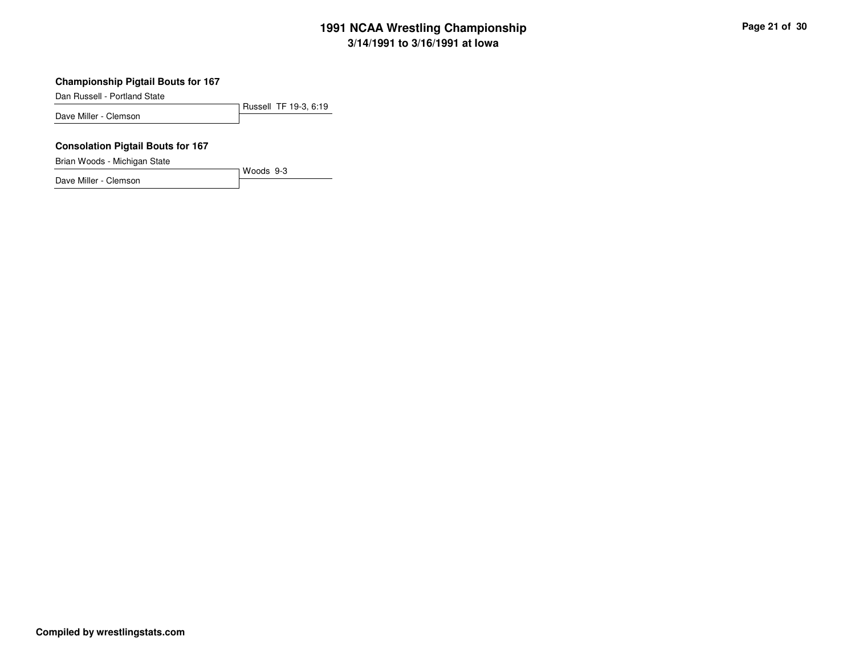## **Championship Pigtail Bouts for 167**

Dan Russell - Portland State

Russell TF 19-3, 6:19Dave Miller - Clemson

Woods 9-3

#### **Consolation Pigtail Bouts for 167**

Brian Woods - Michigan State

Dave Miller - Clemson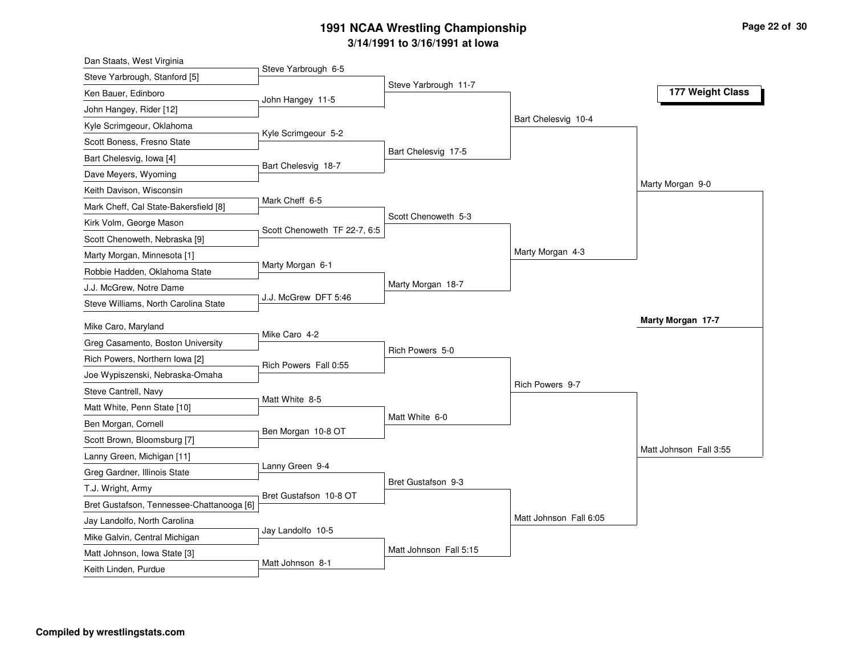| Dan Staats, West Virginia                                     |                              |                        |                        |                        |
|---------------------------------------------------------------|------------------------------|------------------------|------------------------|------------------------|
| Steve Yarbrough, Stanford [5]                                 | Steve Yarbrough 6-5          |                        |                        |                        |
| Ken Bauer, Edinboro                                           | John Hangey 11-5             | Steve Yarbrough 11-7   |                        | 177 Weight Class       |
| John Hangey, Rider [12]                                       |                              |                        |                        |                        |
| Kyle Scrimgeour, Oklahoma                                     |                              |                        | Bart Chelesvig 10-4    |                        |
| Scott Boness, Fresno State                                    | Kyle Scrimgeour 5-2          |                        |                        |                        |
| Bart Chelesvig, Iowa [4]                                      |                              | Bart Chelesvig 17-5    |                        |                        |
| Dave Meyers, Wyoming                                          | Bart Chelesvig 18-7          |                        |                        |                        |
| Keith Davison, Wisconsin                                      |                              |                        |                        | Marty Morgan 9-0       |
| Mark Cheff, Cal State-Bakersfield [8]                         | Mark Cheff 6-5               |                        |                        |                        |
| Kirk Volm, George Mason                                       |                              | Scott Chenoweth 5-3    |                        |                        |
| Scott Chenoweth, Nebraska [9]                                 | Scott Chenoweth TF 22-7, 6:5 |                        |                        |                        |
| Marty Morgan, Minnesota [1]                                   |                              |                        | Marty Morgan 4-3       |                        |
| Robbie Hadden, Oklahoma State                                 | Marty Morgan 6-1             |                        |                        |                        |
| J.J. McGrew, Notre Dame                                       |                              | Marty Morgan 18-7      |                        |                        |
| Steve Williams, North Carolina State                          | J.J. McGrew DFT 5:46         |                        |                        |                        |
| Mike Caro, Maryland                                           |                              |                        |                        | Marty Morgan 17-7      |
| Greg Casamento, Boston University                             | Mike Caro 4-2                |                        |                        |                        |
| Rich Powers, Northern Iowa [2]                                |                              | Rich Powers 5-0        |                        |                        |
| Joe Wypiszenski, Nebraska-Omaha                               | Rich Powers Fall 0:55        |                        |                        |                        |
| Steve Cantrell, Navy                                          |                              |                        | Rich Powers 9-7        |                        |
| Matt White, Penn State [10]                                   | Matt White 8-5               |                        |                        |                        |
| Ben Morgan, Cornell                                           |                              | Matt White 6-0         |                        |                        |
| Scott Brown, Bloomsburg [7]                                   | Ben Morgan 10-8 OT           |                        |                        |                        |
| Lanny Green, Michigan [11]                                    |                              |                        |                        | Matt Johnson Fall 3:55 |
| Greg Gardner, Illinois State                                  |                              |                        |                        |                        |
| T.J. Wright, Army                                             | Lanny Green 9-4              |                        |                        |                        |
|                                                               |                              | Bret Gustafson 9-3     |                        |                        |
|                                                               | Bret Gustafson 10-8 OT       |                        |                        |                        |
| Bret Gustafson, Tennessee-Chattanooga [6]                     |                              |                        |                        |                        |
| Jay Landolfo, North Carolina                                  | Jay Landolfo 10-5            |                        | Matt Johnson Fall 6:05 |                        |
| Mike Galvin, Central Michigan<br>Matt Johnson, Iowa State [3] |                              | Matt Johnson Fall 5:15 |                        |                        |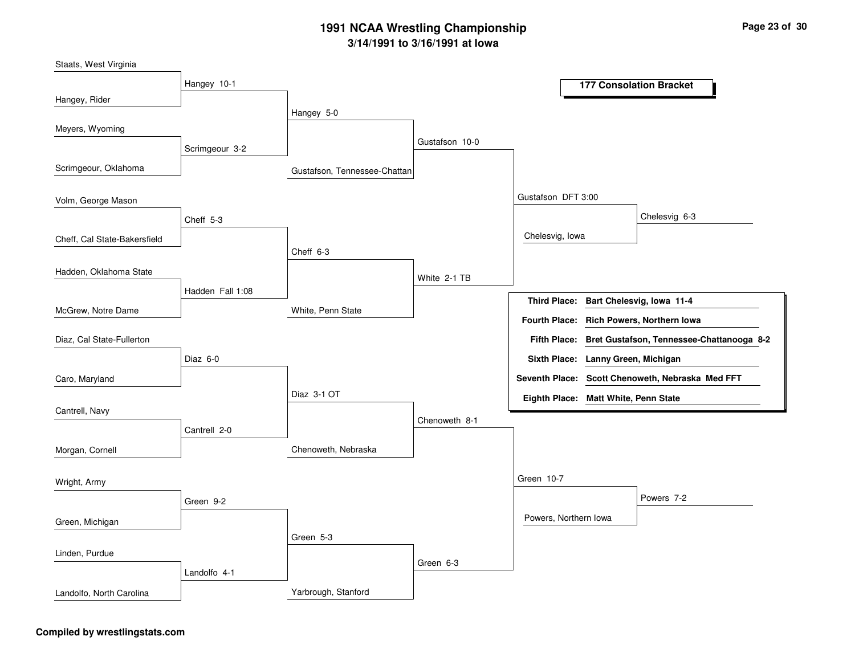| Staats, West Virginia        |                  |                              |                |                                      |                                                        |
|------------------------------|------------------|------------------------------|----------------|--------------------------------------|--------------------------------------------------------|
|                              | Hangey 10-1      |                              |                |                                      | <b>177 Consolation Bracket</b>                         |
| Hangey, Rider                |                  |                              |                |                                      |                                                        |
|                              |                  | Hangey 5-0                   |                |                                      |                                                        |
| Meyers, Wyoming              |                  |                              |                |                                      |                                                        |
|                              | Scrimgeour 3-2   |                              | Gustafson 10-0 |                                      |                                                        |
| Scrimgeour, Oklahoma         |                  | Gustafson, Tennessee-Chattan |                |                                      |                                                        |
| Volm, George Mason           |                  |                              |                | Gustafson DFT 3:00                   |                                                        |
|                              | Cheff 5-3        |                              |                |                                      | Chelesvig 6-3                                          |
| Cheff, Cal State-Bakersfield |                  |                              |                | Chelesvig, Iowa                      |                                                        |
|                              |                  | Cheff 6-3                    |                |                                      |                                                        |
| Hadden, Oklahoma State       |                  |                              | White 2-1 TB   |                                      |                                                        |
|                              | Hadden Fall 1:08 |                              |                |                                      | Third Place: Bart Chelesvig, Iowa 11-4                 |
| McGrew, Notre Dame           |                  | White, Penn State            |                |                                      | Fourth Place: Rich Powers, Northern Iowa               |
| Diaz, Cal State-Fullerton    |                  |                              |                |                                      | Fifth Place: Bret Gustafson, Tennessee-Chattanooga 8-2 |
|                              | Diaz 6-0         |                              |                | Sixth Place: Lanny Green, Michigan   |                                                        |
| Caro, Maryland               |                  |                              |                |                                      | Seventh Place: Scott Chenoweth, Nebraska Med FFT       |
|                              |                  | Diaz 3-1 OT                  |                | Eighth Place: Matt White, Penn State |                                                        |
| Cantrell, Navy               |                  |                              | Chenoweth 8-1  |                                      |                                                        |
|                              | Cantrell 2-0     |                              |                |                                      |                                                        |
| Morgan, Cornell              |                  | Chenoweth, Nebraska          |                |                                      |                                                        |
| Wright, Army                 |                  |                              |                | Green 10-7                           |                                                        |
|                              | Green 9-2        |                              |                |                                      | Powers 7-2                                             |
| Green, Michigan              |                  |                              |                | Powers, Northern Iowa                |                                                        |
|                              |                  | Green 5-3                    |                |                                      |                                                        |
| Linden, Purdue               |                  |                              |                |                                      |                                                        |
|                              | Landolfo 4-1     |                              | Green 6-3      |                                      |                                                        |
| Landolfo, North Carolina     |                  | Yarbrough, Stanford          |                |                                      |                                                        |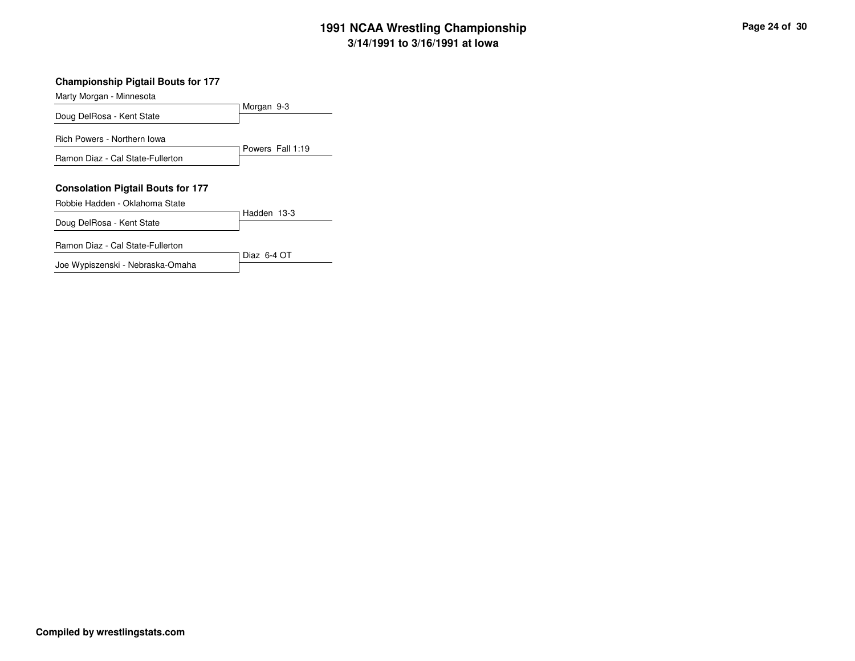## **Championship Pigtail Bouts for 177**

Marty Morgan - Minnesota

| m, n, n                                                                    |                  |
|----------------------------------------------------------------------------|------------------|
| Doug DelRosa - Kent State                                                  | Morgan 9-3       |
| Rich Powers - Northern Iowa                                                | Powers Fall 1:19 |
| Ramon Diaz - Cal State-Fullerton                                           |                  |
| <b>Consolation Pigtail Bouts for 177</b><br>Robbie Hadden - Oklahoma State |                  |
| Doug DelRosa - Kent State                                                  | Hadden 13-3      |
| Ramon Diaz - Cal State-Fullerton                                           | Diaz $6-4$ OT    |
| Joe Wypiszenski - Nebraska-Omaha                                           |                  |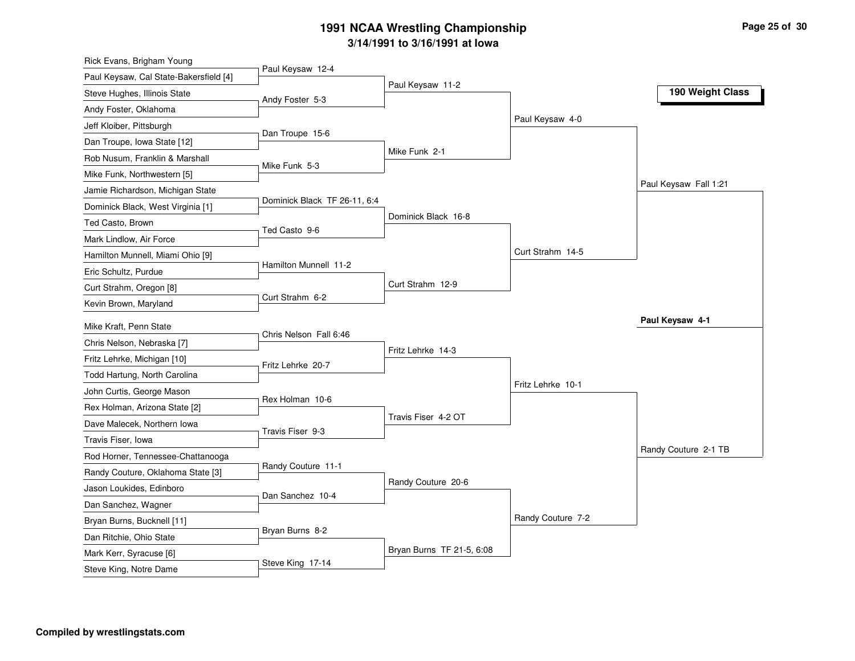| Rick Evans, Brigham Young              |                              |                           |                   |                       |
|----------------------------------------|------------------------------|---------------------------|-------------------|-----------------------|
| Paul Keysaw, Cal State-Bakersfield [4] | Paul Keysaw 12-4             |                           |                   |                       |
| Steve Hughes, Illinois State           | Andy Foster 5-3              | Paul Keysaw 11-2          |                   | 190 Weight Class      |
| Andy Foster, Oklahoma                  |                              |                           |                   |                       |
| Jeff Kloiber, Pittsburgh               |                              |                           | Paul Keysaw 4-0   |                       |
| Dan Troupe, Iowa State [12]            | Dan Troupe 15-6              |                           |                   |                       |
| Rob Nusum, Franklin & Marshall         | Mike Funk 5-3                | Mike Funk 2-1             |                   |                       |
| Mike Funk, Northwestern [5]            |                              |                           |                   |                       |
| Jamie Richardson, Michigan State       |                              |                           |                   | Paul Keysaw Fall 1:21 |
| Dominick Black, West Virginia [1]      | Dominick Black TF 26-11, 6:4 |                           |                   |                       |
| Ted Casto, Brown                       | Ted Casto 9-6                | Dominick Black 16-8       |                   |                       |
| Mark Lindlow, Air Force                |                              |                           |                   |                       |
| Hamilton Munnell, Miami Ohio [9]       |                              |                           | Curt Strahm 14-5  |                       |
| Eric Schultz, Purdue                   | Hamilton Munnell 11-2        |                           |                   |                       |
| Curt Strahm, Oregon [8]                |                              | Curt Strahm 12-9          |                   |                       |
| Kevin Brown, Maryland                  | Curt Strahm 6-2              |                           |                   |                       |
| Mike Kraft, Penn State                 |                              |                           |                   | Paul Keysaw 4-1       |
| Chris Nelson, Nebraska [7]             | Chris Nelson Fall 6:46       |                           |                   |                       |
| Fritz Lehrke, Michigan [10]            |                              | Fritz Lehrke 14-3         |                   |                       |
| Todd Hartung, North Carolina           | Fritz Lehrke 20-7            |                           |                   |                       |
| John Curtis, George Mason              |                              |                           | Fritz Lehrke 10-1 |                       |
| Rex Holman, Arizona State [2]          | Rex Holman 10-6              |                           |                   |                       |
| Dave Malecek, Northern Iowa            |                              | Travis Fiser 4-2 OT       |                   |                       |
| Travis Fiser, Iowa                     | Travis Fiser 9-3             |                           |                   |                       |
| Rod Horner, Tennessee-Chattanooga      |                              |                           |                   | Randy Couture 2-1 TB  |
| Randy Couture, Oklahoma State [3]      | Randy Couture 11-1           |                           |                   |                       |
| Jason Loukides, Edinboro               |                              | Randy Couture 20-6        |                   |                       |
| Dan Sanchez, Wagner                    | Dan Sanchez 10-4             |                           |                   |                       |
| Bryan Burns, Bucknell [11]             |                              |                           | Randy Couture 7-2 |                       |
| Dan Ritchie, Ohio State                | Bryan Burns 8-2              |                           |                   |                       |
| Mark Kerr, Syracuse [6]                |                              | Bryan Burns TF 21-5, 6:08 |                   |                       |
| Steve King, Notre Dame                 | Steve King 17-14             |                           |                   |                       |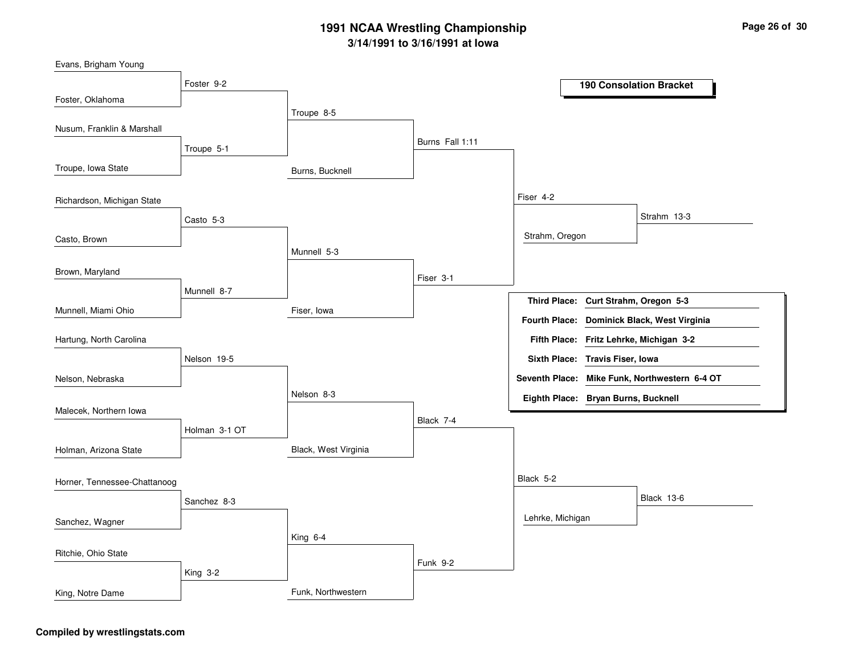| Evans, Brigham Young         |               |                      |                 |                                     |                                               |
|------------------------------|---------------|----------------------|-----------------|-------------------------------------|-----------------------------------------------|
|                              | Foster 9-2    |                      |                 |                                     | <b>190 Consolation Bracket</b>                |
| Foster, Oklahoma             |               | Troupe 8-5           |                 |                                     |                                               |
| Nusum, Franklin & Marshall   |               |                      |                 |                                     |                                               |
|                              | Troupe 5-1    |                      | Burns Fall 1:11 |                                     |                                               |
| Troupe, Iowa State           |               |                      |                 |                                     |                                               |
|                              |               | Burns, Bucknell      |                 |                                     |                                               |
| Richardson, Michigan State   |               |                      |                 | Fiser 4-2                           |                                               |
|                              | Casto 5-3     |                      |                 |                                     | Strahm 13-3                                   |
| Casto, Brown                 |               |                      |                 | Strahm, Oregon                      |                                               |
|                              |               | Munnell 5-3          |                 |                                     |                                               |
| Brown, Maryland              |               |                      | Fiser 3-1       |                                     |                                               |
|                              | Munnell 8-7   |                      |                 | <b>Third Place:</b>                 | Curt Strahm, Oregon 5-3                       |
| Munnell, Miami Ohio          |               | Fiser, Iowa          |                 | <b>Fourth Place:</b>                | Dominick Black, West Virginia                 |
|                              |               |                      |                 |                                     |                                               |
| Hartung, North Carolina      |               |                      |                 |                                     | Fifth Place: Fritz Lehrke, Michigan 3-2       |
|                              | Nelson 19-5   |                      |                 | Sixth Place: Travis Fiser, Iowa     |                                               |
| Nelson, Nebraska             |               | Nelson 8-3           |                 |                                     | Seventh Place: Mike Funk, Northwestern 6-4 OT |
| Malecek, Northern Iowa       |               |                      |                 | Eighth Place: Bryan Burns, Bucknell |                                               |
|                              | Holman 3-1 OT |                      | Black 7-4       |                                     |                                               |
| Holman, Arizona State        |               | Black, West Virginia |                 |                                     |                                               |
|                              |               |                      |                 |                                     |                                               |
| Horner, Tennessee-Chattanoog |               |                      |                 | Black 5-2                           |                                               |
|                              | Sanchez 8-3   |                      |                 |                                     | <b>Black 13-6</b>                             |
| Sanchez, Wagner              |               |                      |                 | Lehrke, Michigan                    |                                               |
|                              |               | King 6-4             |                 |                                     |                                               |
| Ritchie, Ohio State          |               |                      | Funk 9-2        |                                     |                                               |
|                              | King 3-2      |                      |                 |                                     |                                               |
| King, Notre Dame             |               | Funk, Northwestern   |                 |                                     |                                               |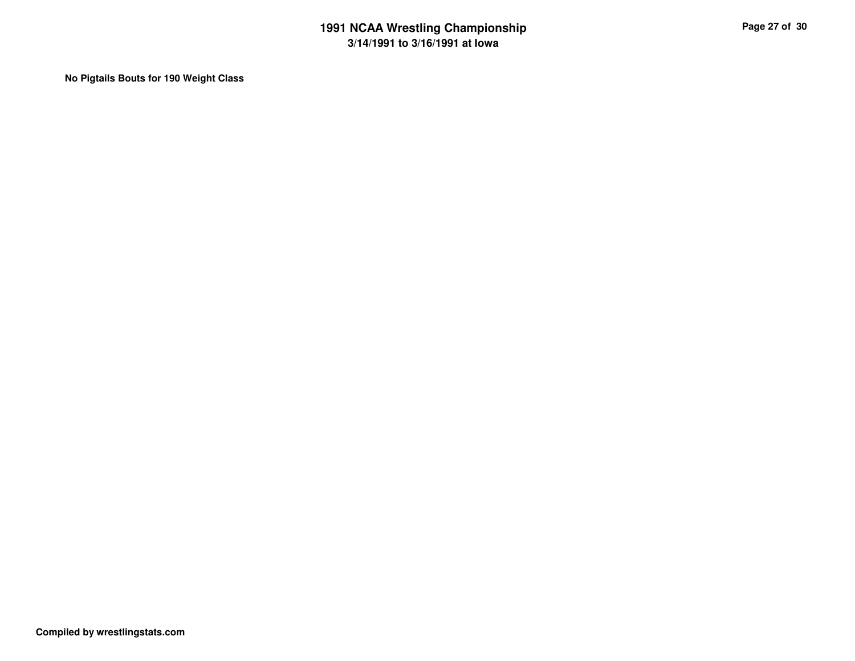**No Pigtails Bouts for 190 Weight Class**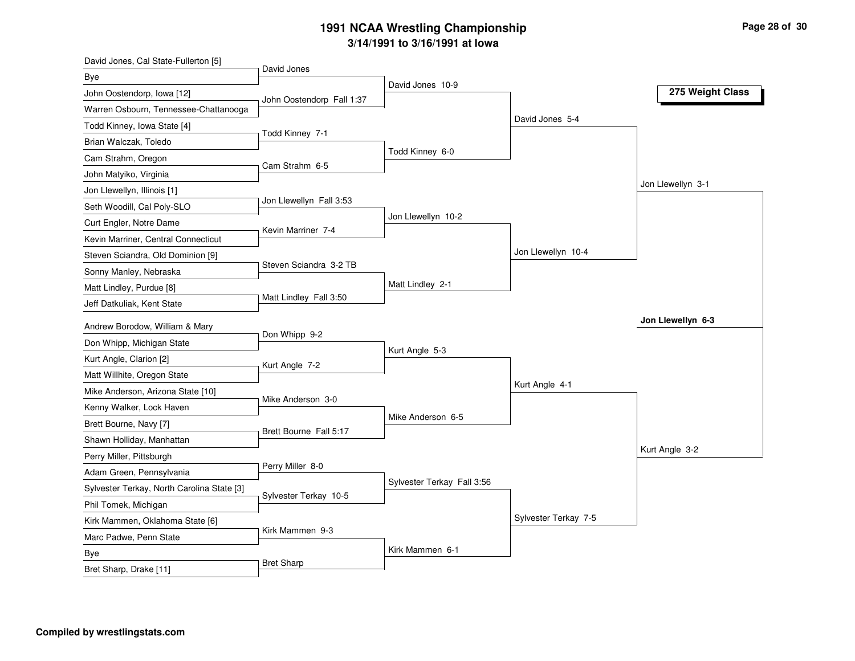| David Jones, Cal State-Fullerton [5]       |                           |                            |                      |                   |
|--------------------------------------------|---------------------------|----------------------------|----------------------|-------------------|
| Bye                                        | David Jones               |                            |                      |                   |
| John Oostendorp, Iowa [12]                 | John Oostendorp Fall 1:37 | David Jones 10-9           |                      | 275 Weight Class  |
| Warren Osbourn, Tennessee-Chattanooga      |                           |                            |                      |                   |
| Todd Kinney, Iowa State [4]                |                           |                            | David Jones 5-4      |                   |
| Brian Walczak, Toledo                      | Todd Kinney 7-1           |                            |                      |                   |
| Cam Strahm, Oregon                         |                           | Todd Kinney 6-0            |                      |                   |
| John Matyiko, Virginia                     | Cam Strahm 6-5            |                            |                      |                   |
| Jon Llewellyn, Illinois [1]                |                           |                            |                      | Jon Llewellyn 3-1 |
| Seth Woodill, Cal Poly-SLO                 | Jon Llewellyn Fall 3:53   |                            |                      |                   |
| Curt Engler, Notre Dame                    |                           | Jon Llewellyn 10-2         |                      |                   |
| Kevin Marriner, Central Connecticut        | Kevin Marriner 7-4        |                            |                      |                   |
| Steven Sciandra, Old Dominion [9]          |                           |                            | Jon Llewellyn 10-4   |                   |
| Sonny Manley, Nebraska                     | Steven Sciandra 3-2 TB    |                            |                      |                   |
| Matt Lindley, Purdue [8]                   |                           | Matt Lindley 2-1           |                      |                   |
| Jeff Datkuliak, Kent State                 | Matt Lindley Fall 3:50    |                            |                      |                   |
| Andrew Borodow, William & Mary             |                           |                            |                      | Jon Llewellyn 6-3 |
| Don Whipp, Michigan State                  | Don Whipp 9-2             |                            |                      |                   |
| Kurt Angle, Clarion [2]                    |                           | Kurt Angle 5-3             |                      |                   |
| Matt Willhite, Oregon State                | Kurt Angle 7-2            |                            |                      |                   |
| Mike Anderson, Arizona State [10]          |                           |                            | Kurt Angle 4-1       |                   |
| Kenny Walker, Lock Haven                   | Mike Anderson 3-0         |                            |                      |                   |
| Brett Bourne, Navy [7]                     |                           | Mike Anderson 6-5          |                      |                   |
| Shawn Holliday, Manhattan                  | Brett Bourne Fall 5:17    |                            |                      |                   |
| Perry Miller, Pittsburgh                   |                           |                            |                      | Kurt Angle 3-2    |
| Adam Green, Pennsylvania                   | Perry Miller 8-0          |                            |                      |                   |
| Sylvester Terkay, North Carolina State [3] |                           | Sylvester Terkay Fall 3:56 |                      |                   |
| Phil Tomek, Michigan                       | Sylvester Terkay 10-5     |                            |                      |                   |
| Kirk Mammen, Oklahoma State [6]            |                           |                            | Sylvester Terkay 7-5 |                   |
| Marc Padwe, Penn State                     | Kirk Mammen 9-3           |                            |                      |                   |
| Bye                                        |                           | Kirk Mammen 6-1            |                      |                   |
| Bret Sharp, Drake [11]                     | <b>Bret Sharp</b>         |                            |                      |                   |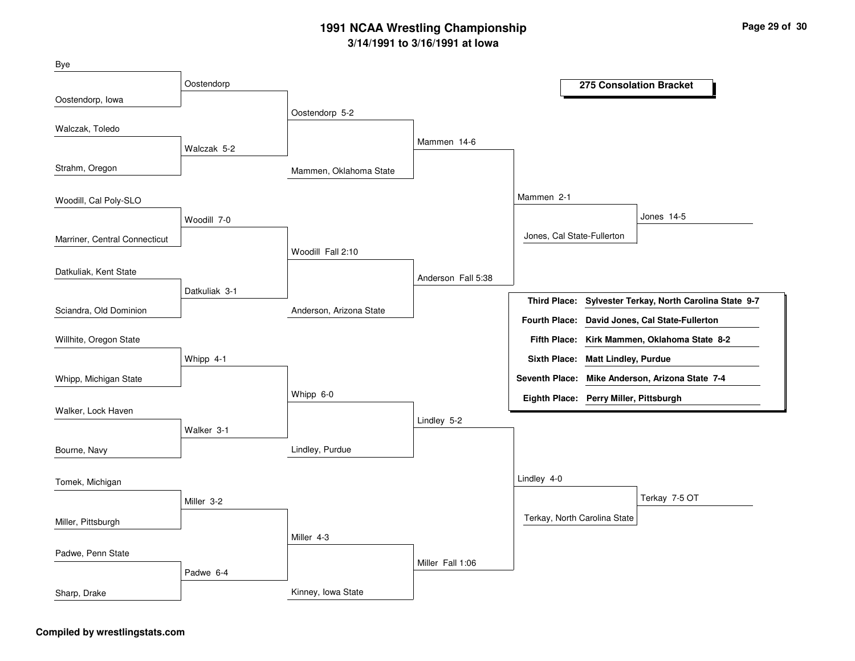| Bye                           |               |                         |                    |                                        |                             |                                                 |
|-------------------------------|---------------|-------------------------|--------------------|----------------------------------------|-----------------------------|-------------------------------------------------|
|                               | Oostendorp    |                         |                    |                                        |                             | 275 Consolation Bracket                         |
| Oostendorp, lowa              |               | Oostendorp 5-2          |                    |                                        |                             |                                                 |
| Walczak, Toledo               |               |                         |                    |                                        |                             |                                                 |
|                               | Walczak 5-2   |                         | Mammen 14-6        |                                        |                             |                                                 |
| Strahm, Oregon                |               | Mammen, Oklahoma State  |                    |                                        |                             |                                                 |
| Woodill, Cal Poly-SLO         |               |                         |                    | Mammen 2-1                             |                             |                                                 |
|                               | Woodill 7-0   |                         |                    |                                        |                             | Jones 14-5                                      |
| Marriner, Central Connecticut |               |                         |                    | Jones, Cal State-Fullerton             |                             |                                                 |
|                               |               | Woodill Fall 2:10       |                    |                                        |                             |                                                 |
| Datkuliak, Kent State         |               |                         | Anderson Fall 5:38 |                                        |                             |                                                 |
|                               | Datkuliak 3-1 |                         |                    | <b>Third Place:</b>                    |                             | Sylvester Terkay, North Carolina State 9-7      |
| Sciandra, Old Dominion        |               | Anderson, Arizona State |                    | <b>Fourth Place:</b>                   |                             | David Jones, Cal State-Fullerton                |
| Willhite, Oregon State        |               |                         |                    |                                        |                             | Fifth Place: Kirk Mammen, Oklahoma State 8-2    |
|                               | Whipp 4-1     |                         |                    | <b>Sixth Place:</b>                    | <b>Matt Lindley, Purdue</b> |                                                 |
| Whipp, Michigan State         |               |                         |                    |                                        |                             | Seventh Place: Mike Anderson, Arizona State 7-4 |
|                               |               | Whipp 6-0               |                    | Eighth Place: Perry Miller, Pittsburgh |                             |                                                 |
| Walker, Lock Haven            |               |                         | Lindley 5-2        |                                        |                             |                                                 |
|                               | Walker 3-1    |                         |                    |                                        |                             |                                                 |
| Bourne, Navy                  |               | Lindley, Purdue         |                    |                                        |                             |                                                 |
| Tomek, Michigan               |               |                         |                    | Lindley 4-0                            |                             |                                                 |
|                               | Miller 3-2    |                         |                    |                                        |                             | Terkay 7-5 OT                                   |
| Miller, Pittsburgh            |               |                         |                    | Terkay, North Carolina State           |                             |                                                 |
|                               |               | Miller 4-3              |                    |                                        |                             |                                                 |
| Padwe, Penn State             |               |                         | Miller Fall 1:06   |                                        |                             |                                                 |
|                               | Padwe 6-4     |                         |                    |                                        |                             |                                                 |
| Sharp, Drake                  |               | Kinney, Iowa State      |                    |                                        |                             |                                                 |